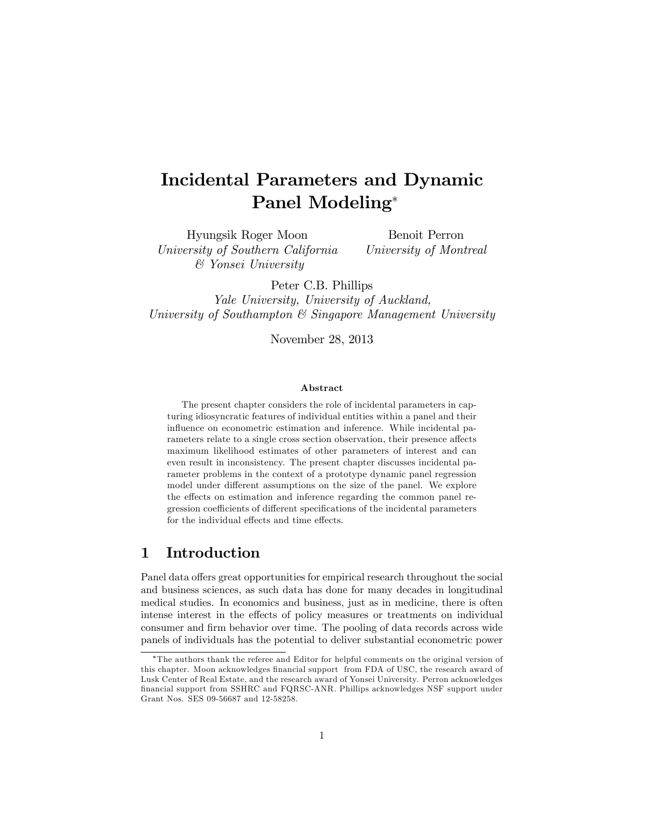# Incidental Parameters and Dynamic Panel Modeling

Hyungsik Roger Moon University of Southern California & Yonsei University

Benoit Perron University of Montreal

Peter C.B. Phillips

Yale University, University of Auckland, University of Southampton & Singapore Management University

November 28, 2013

#### Abstract

The present chapter considers the role of incidental parameters in capturing idiosyncratic features of individual entities within a panel and their influence on econometric estimation and inference. While incidental parameters relate to a single cross section observation, their presence affects maximum likelihood estimates of other parameters of interest and can even result in inconsistency. The present chapter discusses incidental parameter problems in the context of a prototype dynamic panel regression model under different assumptions on the size of the panel. We explore the effects on estimation and inference regarding the common panel regression coefficients of different specifications of the incidental parameters for the individual effects and time effects.

# 1 Introduction

Panel data offers great opportunities for empirical research throughout the social and business sciences, as such data has done for many decades in longitudinal medical studies. In economics and business, just as in medicine, there is often intense interest in the effects of policy measures or treatments on individual consumer and Örm behavior over time. The pooling of data records across wide panels of individuals has the potential to deliver substantial econometric power

The authors thank the referee and Editor for helpful comments on the original version of this chapter. Moon acknowledges financial support from FDA of USC, the research award of Lusk Center of Real Estate, and the research award of Yonsei University. Perron acknowledges Önancial support from SSHRC and FQRSC-ANR. Phillips acknowledges NSF support under Grant Nos. SES 09-56687 and 12-58258.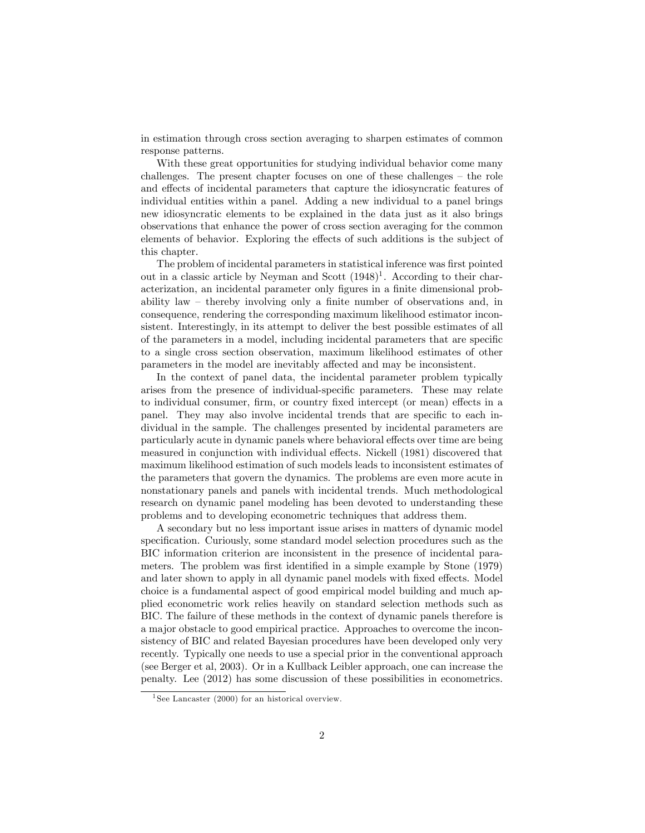in estimation through cross section averaging to sharpen estimates of common response patterns.

With these great opportunities for studying individual behavior come many challenges. The present chapter focuses on one of these challenges  $-$  the role and effects of incidental parameters that capture the idiosyncratic features of individual entities within a panel. Adding a new individual to a panel brings new idiosyncratic elements to be explained in the data just as it also brings observations that enhance the power of cross section averaging for the common elements of behavior. Exploring the effects of such additions is the subject of this chapter.

The problem of incidental parameters in statistical inference was first pointed out in a classic article by Neyman and Scott  $(1948)^{1}$ . According to their characterization, an incidental parameter only figures in a finite dimensional probability law  $-$  thereby involving only a finite number of observations and, in consequence, rendering the corresponding maximum likelihood estimator inconsistent. Interestingly, in its attempt to deliver the best possible estimates of all of the parameters in a model, including incidental parameters that are specific to a single cross section observation, maximum likelihood estimates of other parameters in the model are inevitably affected and may be inconsistent.

In the context of panel data, the incidental parameter problem typically arises from the presence of individual-specific parameters. These may relate to individual consumer, firm, or country fixed intercept (or mean) effects in a panel. They may also involve incidental trends that are specific to each individual in the sample. The challenges presented by incidental parameters are particularly acute in dynamic panels where behavioral effects over time are being measured in conjunction with individual effects. Nickell (1981) discovered that maximum likelihood estimation of such models leads to inconsistent estimates of the parameters that govern the dynamics. The problems are even more acute in nonstationary panels and panels with incidental trends. Much methodological research on dynamic panel modeling has been devoted to understanding these problems and to developing econometric techniques that address them.

A secondary but no less important issue arises in matters of dynamic model specification. Curiously, some standard model selection procedures such as the BIC information criterion are inconsistent in the presence of incidental parameters. The problem was first identified in a simple example by Stone (1979) and later shown to apply in all dynamic panel models with fixed effects. Model choice is a fundamental aspect of good empirical model building and much applied econometric work relies heavily on standard selection methods such as BIC. The failure of these methods in the context of dynamic panels therefore is a major obstacle to good empirical practice. Approaches to overcome the inconsistency of BIC and related Bayesian procedures have been developed only very recently. Typically one needs to use a special prior in the conventional approach (see Berger et al, 2003). Or in a Kullback Leibler approach, one can increase the penalty. Lee (2012) has some discussion of these possibilities in econometrics.

<sup>&</sup>lt;sup>1</sup> See Lancaster (2000) for an historical overview.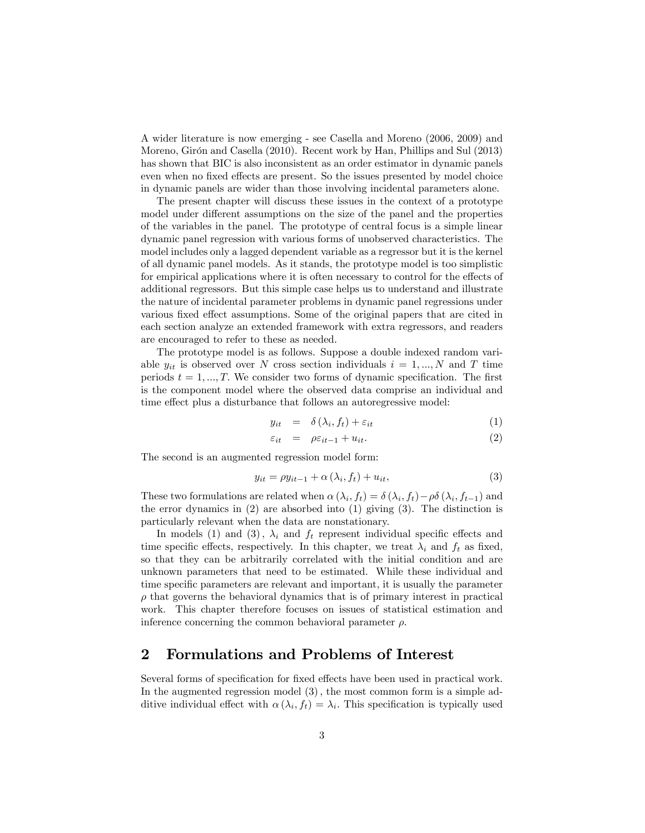A wider literature is now emerging - see Casella and Moreno (2006, 2009) and Moreno, Girón and Casella (2010). Recent work by Han, Phillips and Sul (2013) has shown that BIC is also inconsistent as an order estimator in dynamic panels even when no fixed effects are present. So the issues presented by model choice in dynamic panels are wider than those involving incidental parameters alone.

The present chapter will discuss these issues in the context of a prototype model under different assumptions on the size of the panel and the properties of the variables in the panel. The prototype of central focus is a simple linear dynamic panel regression with various forms of unobserved characteristics. The model includes only a lagged dependent variable as a regressor but it is the kernel of all dynamic panel models. As it stands, the prototype model is too simplistic for empirical applications where it is often necessary to control for the effects of additional regressors. But this simple case helps us to understand and illustrate the nature of incidental parameter problems in dynamic panel regressions under various fixed effect assumptions. Some of the original papers that are cited in each section analyze an extended framework with extra regressors, and readers are encouraged to refer to these as needed.

The prototype model is as follows. Suppose a double indexed random variable  $y_{it}$  is observed over N cross section individuals  $i = 1, ..., N$  and T time periods  $t = 1, ..., T$ . We consider two forms of dynamic specification. The first is the component model where the observed data comprise an individual and time effect plus a disturbance that follows an autoregressive model:

$$
y_{it} = \delta(\lambda_i, f_t) + \varepsilon_{it} \tag{1}
$$

$$
\varepsilon_{it} = \rho \varepsilon_{it-1} + u_{it}.
$$
 (2)

The second is an augmented regression model form:

$$
y_{it} = \rho y_{it-1} + \alpha \left(\lambda_i, f_t\right) + u_{it},\tag{3}
$$

These two formulations are related when  $\alpha(\lambda_i, f_t) = \delta(\lambda_i, f_t) - \rho \delta(\lambda_i, f_{t-1})$  and the error dynamics in (2) are absorbed into (1) giving (3). The distinction is particularly relevant when the data are nonstationary.

In models (1) and (3),  $\lambda_i$  and  $f_t$  represent individual specific effects and time specific effects, respectively. In this chapter, we treat  $\lambda_i$  and  $f_t$  as fixed, so that they can be arbitrarily correlated with the initial condition and are unknown parameters that need to be estimated. While these individual and time specific parameters are relevant and important, it is usually the parameter  $\rho$  that governs the behavioral dynamics that is of primary interest in practical work. This chapter therefore focuses on issues of statistical estimation and inference concerning the common behavioral parameter  $\rho$ .

### 2 Formulations and Problems of Interest

Several forms of specification for fixed effects have been used in practical work. In the augmented regression model  $(3)$ , the most common form is a simple additive individual effect with  $\alpha(\lambda_i, f_t) = \lambda_i$ . This specification is typically used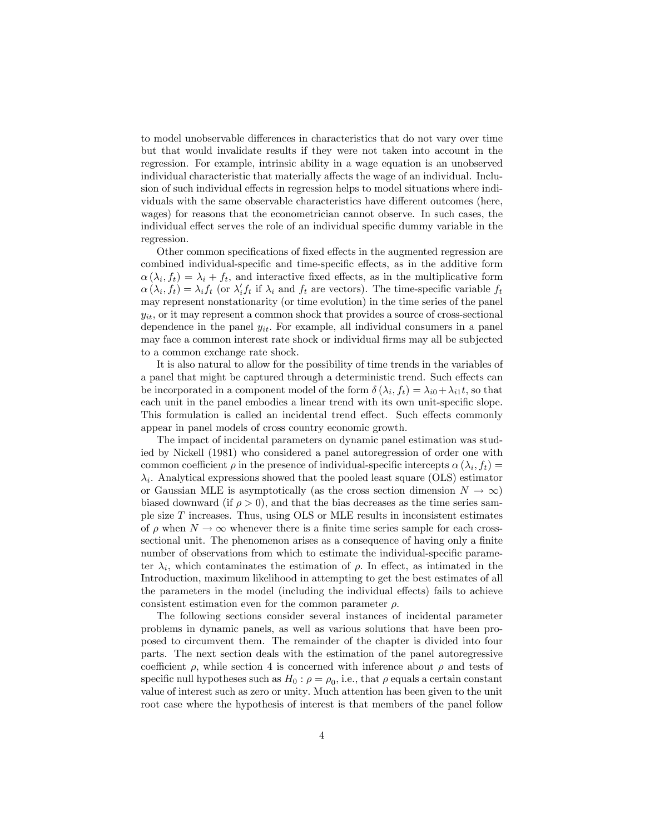to model unobservable differences in characteristics that do not vary over time but that would invalidate results if they were not taken into account in the regression. For example, intrinsic ability in a wage equation is an unobserved individual characteristic that materially affects the wage of an individual. Inclusion of such individual effects in regression helps to model situations where individuals with the same observable characteristics have different outcomes (here, wages) for reasons that the econometrician cannot observe. In such cases, the individual effect serves the role of an individual specific dummy variable in the regression.

Other common specifications of fixed effects in the augmented regression are combined individual-specific and time-specific effects, as in the additive form  $\alpha(\lambda_i, f_t) = \lambda_i + f_t$ , and interactive fixed effects, as in the multiplicative form  $\alpha(\lambda_i, f_t) = \lambda_i f_t$  (or  $\lambda'_i f_t$  if  $\lambda_i$  and  $f_t$  are vectors). The time-specific variable  $f_t$ may represent nonstationarity (or time evolution) in the time series of the panel  $y_{it}$ , or it may represent a common shock that provides a source of cross-sectional dependence in the panel  $y_{it}$ . For example, all individual consumers in a panel may face a common interest rate shock or individual firms may all be subjected to a common exchange rate shock.

It is also natural to allow for the possibility of time trends in the variables of a panel that might be captured through a deterministic trend. Such effects can be incorporated in a component model of the form  $\delta(\lambda_i, f_t) = \lambda_{i0} + \lambda_{i1}t$ , so that each unit in the panel embodies a linear trend with its own unit-specific slope. This formulation is called an incidental trend effect. Such effects commonly appear in panel models of cross country economic growth.

The impact of incidental parameters on dynamic panel estimation was studied by Nickell (1981) who considered a panel autoregression of order one with common coefficient  $\rho$  in the presence of individual-specific intercepts  $\alpha(\lambda_i, f_t) =$  $\lambda_i$ . Analytical expressions showed that the pooled least square (OLS) estimator or Gaussian MLE is asymptotically (as the cross section dimension  $N \to \infty$ ) biased downward (if  $\rho > 0$ ), and that the bias decreases as the time series sample size  $T$  increases. Thus, using OLS or MLE results in inconsistent estimates of  $\rho$  when  $N \to \infty$  whenever there is a finite time series sample for each crosssectional unit. The phenomenon arises as a consequence of having only a finite number of observations from which to estimate the individual-specific parameter  $\lambda_i$ , which contaminates the estimation of  $\rho$ . In effect, as intimated in the Introduction, maximum likelihood in attempting to get the best estimates of all the parameters in the model (including the individual effects) fails to achieve consistent estimation even for the common parameter  $\rho$ .

The following sections consider several instances of incidental parameter problems in dynamic panels, as well as various solutions that have been proposed to circumvent them. The remainder of the chapter is divided into four parts. The next section deals with the estimation of the panel autoregressive coefficient  $\rho$ , while section 4 is concerned with inference about  $\rho$  and tests of specific null hypotheses such as  $H_0: \rho = \rho_0$ , i.e., that  $\rho$  equals a certain constant value of interest such as zero or unity: Much attention has been given to the unit root case where the hypothesis of interest is that members of the panel follow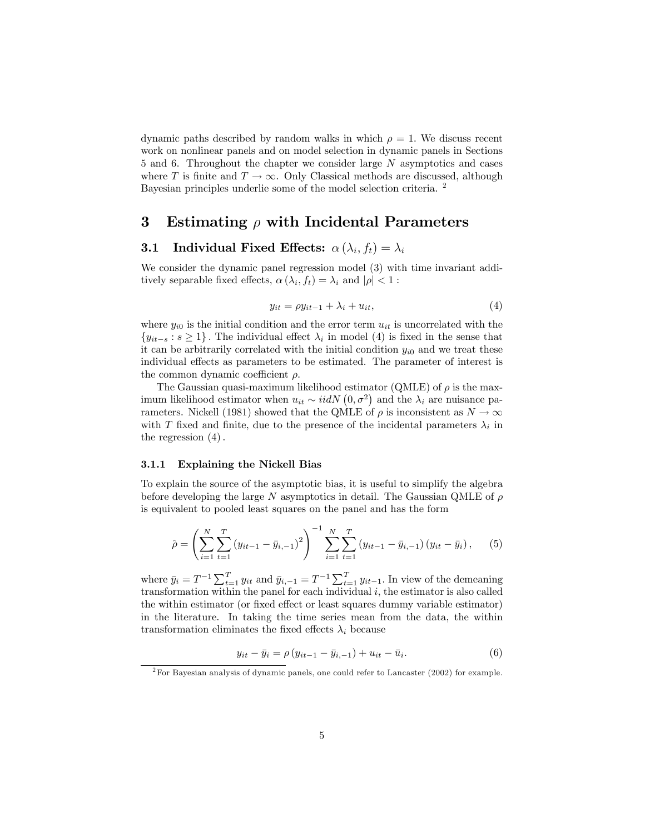dynamic paths described by random walks in which  $\rho = 1$ . We discuss recent work on nonlinear panels and on model selection in dynamic panels in Sections 5 and 6. Throughout the chapter we consider large N asymptotics and cases where T is finite and  $T \to \infty$ . Only Classical methods are discussed, although Bayesian principles underlie some of the model selection criteria. <sup>2</sup>

# 3 Estimating  $\rho$  with Incidental Parameters

### **3.1** Individual Fixed Effects:  $\alpha(\lambda_i, f_t) = \lambda_i$

We consider the dynamic panel regression model (3) with time invariant additively separable fixed effects,  $\alpha(\lambda_i, f_t) = \lambda_i$  and  $|\rho| < 1$ :

$$
y_{it} = \rho y_{it-1} + \lambda_i + u_{it},\tag{4}
$$

where  $y_{i0}$  is the initial condition and the error term  $u_{it}$  is uncorrelated with the  ${y_{it-s} : s \ge 1}$ . The individual effect  $\lambda_i$  in model (4) is fixed in the sense that it can be arbitrarily correlated with the initial condition  $y_{i0}$  and we treat these individual effects as parameters to be estimated. The parameter of interest is the common dynamic coefficient  $\rho$ .

The Gaussian quasi-maximum likelihood estimator (QMLE) of  $\rho$  is the maximum likelihood estimator when  $u_{it} \sim i i dN (0, \sigma^2)$  and the  $\lambda_i$  are nuisance parameters. Nickell (1981) showed that the QMLE of  $\rho$  is inconsistent as  $N \to \infty$ with T fixed and finite, due to the presence of the incidental parameters  $\lambda_i$  in the regression  $(4)$ .

#### 3.1.1 Explaining the Nickell Bias

To explain the source of the asymptotic bias, it is useful to simplify the algebra before developing the large N asymptotics in detail. The Gaussian QMLE of  $\rho$ is equivalent to pooled least squares on the panel and has the form

$$
\hat{\rho} = \left(\sum_{i=1}^{N} \sum_{t=1}^{T} (y_{it-1} - \bar{y}_{i,-1})^2\right)^{-1} \sum_{i=1}^{N} \sum_{t=1}^{T} (y_{it-1} - \bar{y}_{i,-1}) (y_{it} - \bar{y}_{i}), \quad (5)
$$

where  $\bar{y}_i = T^{-1} \sum_{t=1}^T y_{it}$  and  $\bar{y}_{i,-1} = T^{-1} \sum_{t=1}^T y_{it-1}$ . In view of the demeaning transformation within the panel for each individual  $i$ , the estimator is also called the within estimator (or fixed effect or least squares dummy variable estimator) in the literature. In taking the time series mean from the data, the within transformation eliminates the fixed effects  $\lambda_i$  because

$$
y_{it} - \bar{y}_i = \rho (y_{it-1} - \bar{y}_{i,-1}) + u_{it} - \bar{u}_i.
$$
 (6)

<sup>2</sup>For Bayesian analysis of dynamic panels, one could refer to Lancaster (2002) for example.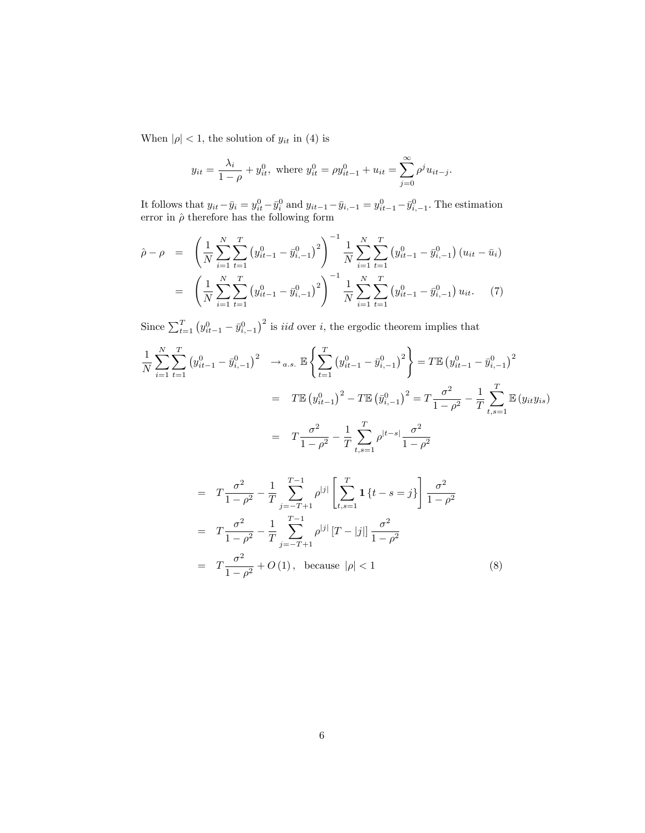When  $|\rho|$  < 1, the solution of  $y_{it}$  in (4) is

$$
y_{it} = \frac{\lambda_i}{1 - \rho} + y_{it}^0
$$
, where  $y_{it}^0 = \rho y_{it-1}^0 + u_{it} = \sum_{j=0}^{\infty} \rho^j u_{it-j}$ .

It follows that  $y_{it} - \bar{y}_i = y_{it}^0 - \bar{y}_i^0$  and  $y_{it-1} - \bar{y}_{i,-1} = y_{it-1}^0 - \bar{y}_{i,-1}^0$ . The estimation error in  $\hat{\rho}$  therefore has the following form

$$
\hat{\rho} - \rho = \left( \frac{1}{N} \sum_{i=1}^{N} \sum_{t=1}^{T} \left( y_{it-1}^{0} - \bar{y}_{i,-1}^{0} \right)^{2} \right)^{-1} \frac{1}{N} \sum_{i=1}^{N} \sum_{t=1}^{T} \left( y_{it-1}^{0} - \bar{y}_{i,-1}^{0} \right) \left( u_{it} - \bar{u}_{i} \right)
$$
\n
$$
= \left( \frac{1}{N} \sum_{i=1}^{N} \sum_{t=1}^{T} \left( y_{it-1}^{0} - \bar{y}_{i,-1}^{0} \right)^{2} \right)^{-1} \frac{1}{N} \sum_{i=1}^{N} \sum_{t=1}^{T} \left( y_{it-1}^{0} - \bar{y}_{i,-1}^{0} \right) u_{it}. \tag{7}
$$

Since  $\sum_{t=1}^{T} (y_{it-1}^0 - \bar{y}_{i,-1}^0)^2$  is *iid* over *i*, the ergodic theorem implies that

$$
\frac{1}{N} \sum_{i=1}^{N} \sum_{t=1}^{T} (y_{it-1}^{0} - \bar{y}_{i,-1}^{0})^{2} \rightarrow_{a.s.} \mathbb{E} \left\{ \sum_{t=1}^{T} (y_{it-1}^{0} - \bar{y}_{i,-1}^{0})^{2} \right\} = T \mathbb{E} (y_{it-1}^{0} - \bar{y}_{i,-1}^{0})^{2}
$$
\n
$$
= T \mathbb{E} (y_{it-1}^{0})^{2} - T \mathbb{E} (\bar{y}_{i,-1}^{0})^{2} = T \frac{\sigma^{2}}{1 - \rho^{2}} - \frac{1}{T} \sum_{t,s=1}^{T} \mathbb{E} (y_{it} y_{is})
$$
\n
$$
= T \frac{\sigma^{2}}{1 - \rho^{2}} - \frac{1}{T} \sum_{t,s=1}^{T} \rho^{|t-s|} \frac{\sigma^{2}}{1 - \rho^{2}}
$$

$$
= T \frac{\sigma^2}{1 - \rho^2} - \frac{1}{T} \sum_{j=-T+1}^{T-1} \rho^{|j|} \left[ \sum_{t,s=1}^{T} \mathbf{1} \{t - s = j\} \right] \frac{\sigma^2}{1 - \rho^2}
$$
  

$$
= T \frac{\sigma^2}{1 - \rho^2} - \frac{1}{T} \sum_{j=-T+1}^{T-1} \rho^{|j|} [T - |j|] \frac{\sigma^2}{1 - \rho^2}
$$
  

$$
= T \frac{\sigma^2}{1 - \rho^2} + O(1), \text{ because } |\rho| < 1
$$
 (8)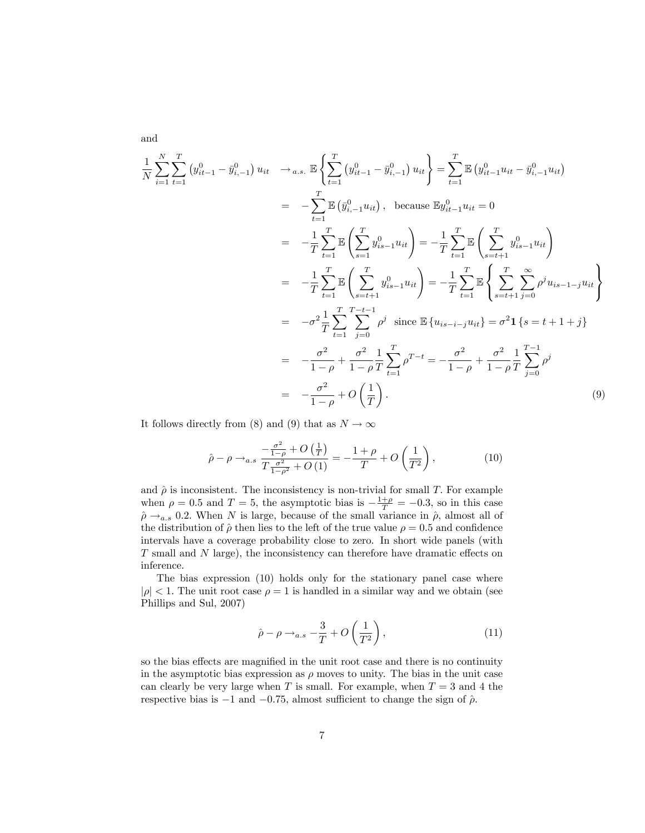$$
\frac{1}{N} \sum_{i=1}^{N} \sum_{t=1}^{T} (y_{it-1}^{0} - \bar{y}_{i,-1}^{0}) u_{it} \rightarrow a.s. \mathbb{E} \left\{ \sum_{t=1}^{T} (y_{it-1}^{0} - \bar{y}_{i,-1}^{0}) u_{it} \right\} = \sum_{t=1}^{T} \mathbb{E} (y_{it-1}^{0} u_{it} - \bar{y}_{i,-1}^{0} u_{it})
$$
\n
$$
= -\sum_{t=1}^{T} \mathbb{E} (\bar{y}_{i,-1}^{0} u_{it}), \text{ because } \mathbb{E} y_{it-1}^{0} u_{it} = 0
$$
\n
$$
= -\frac{1}{T} \sum_{t=1}^{T} \mathbb{E} \left( \sum_{s=1}^{T} y_{is-1}^{0} u_{it} \right) = -\frac{1}{T} \sum_{t=1}^{T} \mathbb{E} \left( \sum_{s=t+1}^{T} y_{is-1}^{0} u_{it} \right)
$$
\n
$$
= -\frac{1}{T} \sum_{t=1}^{T} \mathbb{E} \left( \sum_{s=t+1}^{T} y_{is-1}^{0} u_{it} \right) = -\frac{1}{T} \sum_{t=1}^{T} \mathbb{E} \left\{ \sum_{s=t+1}^{T} \sum_{j=0}^{\infty} \rho^{j} u_{is-1-j} u_{it} \right\}
$$
\n
$$
= -\sigma^{2} \frac{1}{T} \sum_{t=1}^{T} \sum_{j=0}^{T-t-1} \rho^{j} \text{ since } \mathbb{E} \{ u_{is-i-j} u_{it} \} = \sigma^{2} \mathbf{1} \{ s = t+1+j \}
$$
\n
$$
= -\frac{\sigma^{2}}{1-\rho} + \frac{\sigma^{2}}{1-\rho} \sum_{t=1}^{T} \rho^{T-t} = -\frac{\sigma^{2}}{1-\rho} + \frac{\sigma^{2}}{1-\rho} \sum_{j=0}^{T-1} \rho^{j}
$$
\n
$$
= -\frac{\sigma^{2}}{1-\rho} + O \left( \frac{1}{T} \right).
$$
\n(9)

It follows directly from (8) and (9) that as  $N \to \infty$ 

$$
\hat{\rho} - \rho \to_{a.s} \frac{-\frac{\sigma^2}{1-\rho} + O\left(\frac{1}{T}\right)}{T\frac{\sigma^2}{1-\rho^2} + O\left(1\right)} = -\frac{1+\rho}{T} + O\left(\frac{1}{T^2}\right),\tag{10}
$$

and  $\hat{\rho}$  is inconsistent. The inconsistency is non-trivial for small T. For example when  $\rho = 0.5$  and  $T = 5$ , the asymptotic bias is  $-\frac{1+\rho}{T} = -0.3$ , so in this case  $\hat{\rho} \rightarrow_{a.s} 0.2$ . When N is large, because of the small variance in  $\hat{\rho}$ , almost all of the distribution of  $\hat{\rho}$  then lies to the left of the true value  $\rho = 0.5$  and confidence intervals have a coverage probability close to zero. In short wide panels (with  $T$  small and  $N$  large), the inconsistency can therefore have dramatic effects on inference.

The bias expression (10) holds only for the stationary panel case where  $|\rho|$  < 1. The unit root case  $\rho = 1$  is handled in a similar way and we obtain (see Phillips and Sul, 2007)

$$
\hat{\rho} - \rho \rightarrow_{a.s} -\frac{3}{T} + O\left(\frac{1}{T^2}\right),\tag{11}
$$

so the bias effects are magnified in the unit root case and there is no continuity in the asymptotic bias expression as  $\rho$  moves to unity. The bias in the unit case can clearly be very large when T is small. For example, when  $T = 3$  and 4 the respective bias is  $-1$  and  $-0.75$ , almost sufficient to change the sign of  $\hat{\rho}$ .

and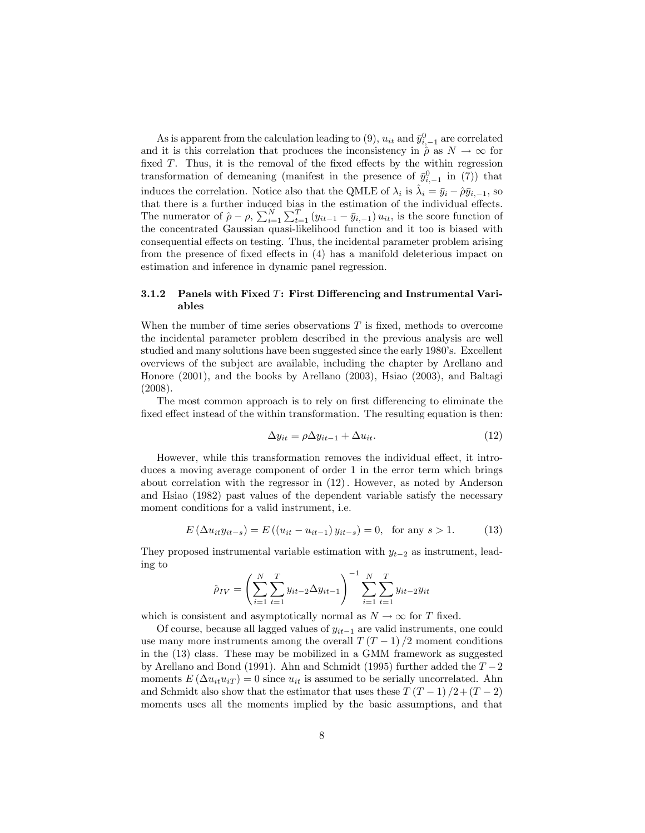As is apparent from the calculation leading to (9),  $u_{it}$  and  $\bar{y}_{i,-1}^0$  are correlated and it is this correlation that produces the inconsistency in  $\hat{\rho}$  as  $N \to \infty$  for fixed  $T$ . Thus, it is the removal of the fixed effects by the within regression transformation of demeaning (manifest in the presence of  $\bar{y}_{i,-1}^0$  in (7)) that induces the correlation. Notice also that the QMLE of  $\lambda_i$  is  $\hat{\lambda}_i = \bar{y}_i - \hat{\rho}\bar{y}_{i,-1}$ , so that there is a further induced bias in the estimation of the individual effects. The numerator of  $\hat{\rho} - \rho$ ,  $\sum_{i=1}^{N} \sum_{t=1}^{T} (y_{it-1} - \bar{y}_{i,-1}) u_{it}$ , is the score function of the concentrated Gaussian quasi-likelihood function and it too is biased with consequential effects on testing. Thus, the incidental parameter problem arising from the presence of fixed effects in  $(4)$  has a manifold deleterious impact on estimation and inference in dynamic panel regression.

#### 3.1.2 Panels with Fixed  $T$ : First Differencing and Instrumental Variables

When the number of time series observations  $T$  is fixed, methods to overcome the incidental parameter problem described in the previous analysis are well studied and many solutions have been suggested since the early 1980ís. Excellent overviews of the subject are available, including the chapter by Arellano and Honore (2001), and the books by Arellano (2003), Hsiao (2003), and Baltagi (2008).

The most common approach is to rely on first differencing to eliminate the fixed effect instead of the within transformation. The resulting equation is then:

$$
\Delta y_{it} = \rho \Delta y_{it-1} + \Delta u_{it}.\tag{12}
$$

However, while this transformation removes the individual effect, it introduces a moving average component of order 1 in the error term which brings about correlation with the regressor in  $(12)$ . However, as noted by Anderson and Hsiao (1982) past values of the dependent variable satisfy the necessary moment conditions for a valid instrument, i.e.

$$
E(\Delta u_{it}y_{it-s}) = E((u_{it} - u_{it-1})y_{it-s}) = 0, \text{ for any } s > 1.
$$
 (13)

They proposed instrumental variable estimation with  $y_{t-2}$  as instrument, leading to

$$
\hat{\rho}_{IV} = \left(\sum_{i=1}^{N} \sum_{t=1}^{T} y_{it-2} \Delta y_{it-1}\right)^{-1} \sum_{i=1}^{N} \sum_{t=1}^{T} y_{it-2} y_{it}
$$

which is consistent and asymptotically normal as  $N \to \infty$  for T fixed.

Of course, because all lagged values of  $y_{it-1}$  are valid instruments, one could use many more instruments among the overall  $T(T-1)/2$  moment conditions in the (13) class. These may be mobilized in a GMM framework as suggested by Arellano and Bond (1991). Ahn and Schmidt (1995) further added the  $T-2$ moments  $E(\Delta u_{it}u_{iT}) = 0$  since  $u_{it}$  is assumed to be serially uncorrelated. Ahn and Schmidt also show that the estimator that uses these  $T (T - 1)/2 + (T - 2)$ moments uses all the moments implied by the basic assumptions, and that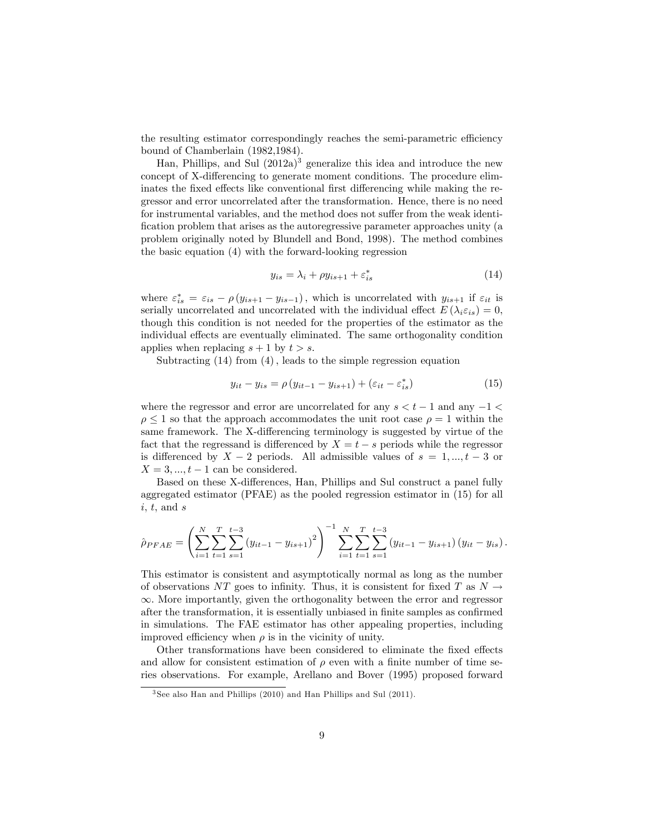the resulting estimator correspondingly reaches the semi-parametric efficiency bound of Chamberlain (1982,1984).

Han, Phillips, and Sul  $(2012a)^3$  generalize this idea and introduce the new concept of X-differencing to generate moment conditions. The procedure eliminates the fixed effects like conventional first differencing while making the regressor and error uncorrelated after the transformation. Hence, there is no need for instrumental variables, and the method does not suffer from the weak identification problem that arises as the autoregressive parameter approaches unity (a problem originally noted by Blundell and Bond, 1998). The method combines the basic equation (4) with the forward-looking regression

$$
y_{is} = \lambda_i + \rho y_{is+1} + \varepsilon_{is}^* \tag{14}
$$

where  $\varepsilon_{is}^* = \varepsilon_{is} - \rho(y_{is+1} - y_{is-1})$ , which is uncorrelated with  $y_{is+1}$  if  $\varepsilon_{it}$  is serially uncorrelated and uncorrelated with the individual effect  $E(\lambda_i \varepsilon_{is}) = 0$ , though this condition is not needed for the properties of the estimator as the individual effects are eventually eliminated. The same orthogonality condition applies when replacing  $s + 1$  by  $t > s$ .

Subtracting  $(14)$  from  $(4)$ , leads to the simple regression equation

$$
y_{it} - y_{is} = \rho \left( y_{it-1} - y_{is+1} \right) + \left( \varepsilon_{it} - \varepsilon_{is}^* \right) \tag{15}
$$

where the regressor and error are uncorrelated for any  $s < t - 1$  and any  $-1 <$  $\rho \leq 1$  so that the approach accommodates the unit root case  $\rho = 1$  within the same framework. The X-differencing terminology is suggested by virtue of the fact that the regressand is differenced by  $X = t - s$  periods while the regressor is differenced by  $X - 2$  periods. All admissible values of  $s = 1, ..., t - 3$  or  $X = 3, ..., t - 1$  can be considered.

Based on these X-differences, Han, Phillips and Sul construct a panel fully aggregated estimator (PFAE) as the pooled regression estimator in (15) for all  $i, t, \text{ and } s$ 

$$
\hat{\rho}_{PFAE} = \left(\sum_{i=1}^{N} \sum_{t=1}^{T} \sum_{s=1}^{t-3} (y_{it-1} - y_{is+1})^2\right)^{-1} \sum_{i=1}^{N} \sum_{t=1}^{T} \sum_{s=1}^{t-3} (y_{it-1} - y_{is+1}) (y_{it} - y_{is}).
$$

This estimator is consistent and asymptotically normal as long as the number of observations NT goes to infinity. Thus, it is consistent for fixed T as  $N \rightarrow$  $\infty$ . More importantly, given the orthogonality between the error and regressor after the transformation, it is essentially unbiased in finite samples as confirmed in simulations. The FAE estimator has other appealing properties, including improved efficiency when  $\rho$  is in the vicinity of unity.

Other transformations have been considered to eliminate the fixed effects and allow for consistent estimation of  $\rho$  even with a finite number of time series observations. For example, Arellano and Bover (1995) proposed forward

<sup>3</sup> See also Han and Phillips (2010) and Han Phillips and Sul (2011).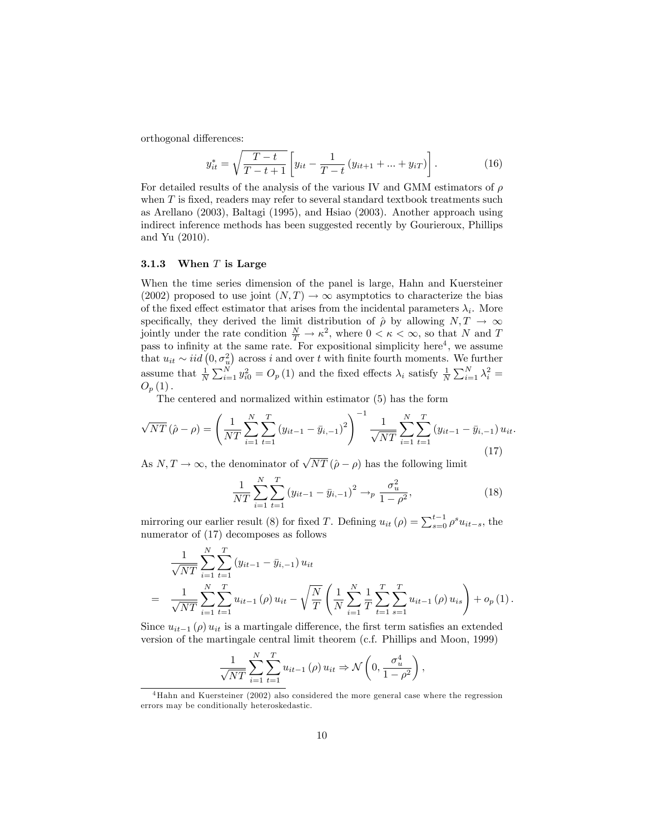orthogonal differences:

$$
y_{it}^{*} = \sqrt{\frac{T-t}{T-t+1}} \left[ y_{it} - \frac{1}{T-t} \left( y_{it+1} + \dots + y_{iT} \right) \right]. \tag{16}
$$

For detailed results of the analysis of the various IV and GMM estimators of  $\rho$ when  $T$  is fixed, readers may refer to several standard textbook treatments such as Arellano (2003), Baltagi (1995), and Hsiao (2003). Another approach using indirect inference methods has been suggested recently by Gourieroux, Phillips and Yu (2010).

#### 3.1.3 When  $T$  is Large

When the time series dimension of the panel is large, Hahn and Kuersteiner (2002) proposed to use joint  $(N, T) \rightarrow \infty$  asymptotics to characterize the bias of the fixed effect estimator that arises from the incidental parameters  $\lambda_i$ . More specifically, they derived the limit distribution of  $\hat{\rho}$  by allowing  $N, T \to \infty$ jointly under the rate condition  $\frac{N}{T} \to \kappa^2$ , where  $0 < \kappa < \infty$ , so that N and T pass to infinity at the same rate. For expositional simplicity here<sup>4</sup>, we assume that  $u_{it} \sim iid(0, \sigma_u^2)$  across i and over t with finite fourth moments. We further assume that  $\frac{1}{N} \sum_{i=1}^{N} y_{i0}^2 = O_p(1)$  and the fixed effects  $\lambda_i$  satisfy  $\frac{1}{N} \sum_{i=1}^{N} \lambda_i^2 =$  $O_p(1)$ .

The centered and normalized within estimator (5) has the form

$$
\sqrt{NT}(\hat{\rho} - \rho) = \left(\frac{1}{NT} \sum_{i=1}^{N} \sum_{t=1}^{T} (y_{it-1} - \bar{y}_{i,-1})^2\right)^{-1} \frac{1}{\sqrt{NT}} \sum_{i=1}^{N} \sum_{t=1}^{T} (y_{it-1} - \bar{y}_{i,-1}) u_{it}.
$$
\n(17)

As  $N, T \to \infty$ , the denominator of  $\sqrt{NT} (\hat{\rho} - \rho)$  has the following limit

$$
\frac{1}{NT} \sum_{i=1}^{N} \sum_{t=1}^{T} (y_{it-1} - \bar{y}_{i,-1})^2 \to_p \frac{\sigma_u^2}{1 - \rho^2},
$$
\n(18)

mirroring our earlier result (8) for fixed T. Defining  $u_{it}(\rho) = \sum_{s=0}^{t-1} \rho^s u_{it-s}$ , the numerator of (17) decomposes as follows

$$
\frac{1}{\sqrt{NT}} \sum_{i=1}^{N} \sum_{t=1}^{T} (y_{it-1} - \bar{y}_{i,-1}) u_{it}
$$
\n
$$
= \frac{1}{\sqrt{NT}} \sum_{i=1}^{N} \sum_{t=1}^{T} u_{it-1}(\rho) u_{it} - \sqrt{\frac{N}{T}} \left( \frac{1}{N} \sum_{i=1}^{N} \frac{1}{T} \sum_{t=1}^{T} \sum_{s=1}^{T} u_{it-1}(\rho) u_{is} \right) + o_p(1).
$$

Since  $u_{it-1}(\rho) u_{it}$  is a martingale difference, the first term satisfies an extended version of the martingale central limit theorem (c.f. Phillips and Moon, 1999)

$$
\frac{1}{\sqrt{NT}}\sum_{i=1}^{N}\sum_{t=1}^{T}u_{it-1}(\rho)u_{it} \Rightarrow \mathcal{N}\left(0, \frac{\sigma_u^4}{1-\rho^2}\right),\,
$$

<sup>&</sup>lt;sup>4</sup>Hahn and Kuersteiner (2002) also considered the more general case where the regression errors may be conditionally heteroskedastic.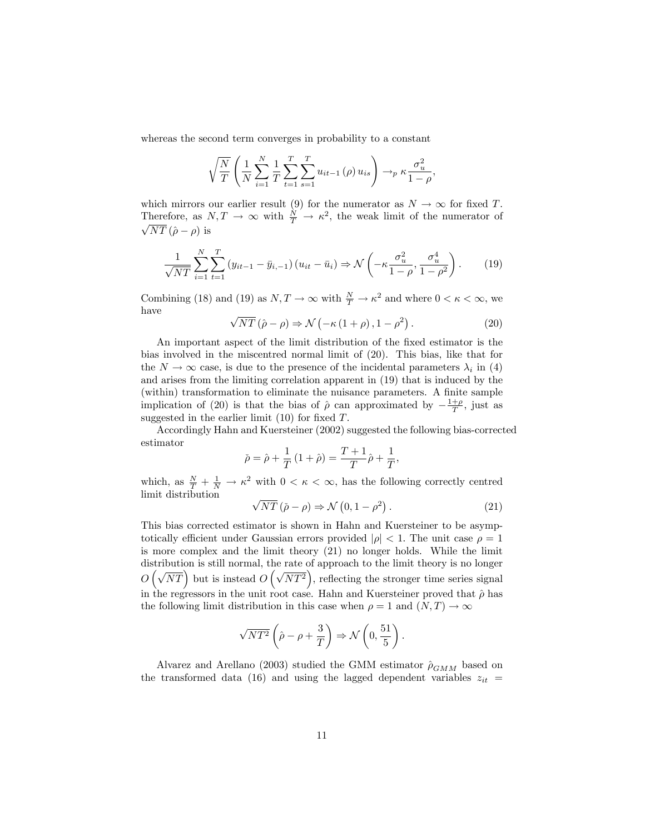whereas the second term converges in probability to a constant

$$
\sqrt{\frac{N}{T}} \left( \frac{1}{N} \sum_{i=1}^{N} \frac{1}{T} \sum_{t=1}^{T} \sum_{s=1}^{T} u_{it-1}(\rho) u_{is} \right) \to_{p} \kappa \frac{\sigma_{u}^{2}}{1-\rho},
$$

which mirrors our earlier result (9) for the numerator as  $N \to \infty$  for fixed T. Therefore, as  $N, T \to \infty$  with  $\frac{N}{T} \to \kappa^2$ , the weak limit of the numerator of  $\sqrt{NT}$  ( $\hat{\rho} - \rho$ ) is

$$
\frac{1}{\sqrt{NT}}\sum_{i=1}^{N}\sum_{t=1}^{T}\left(y_{it-1}-\bar{y}_{i,-1}\right)\left(u_{it}-\bar{u}_{i}\right) \Rightarrow \mathcal{N}\left(-\kappa\frac{\sigma_{u}^{2}}{1-\rho},\frac{\sigma_{u}^{4}}{1-\rho^{2}}\right). \tag{19}
$$

Combining (18) and (19) as  $N, T \to \infty$  with  $\frac{N}{T} \to \kappa^2$  and where  $0 < \kappa < \infty$ , we have

$$
\sqrt{NT} \left( \hat{\rho} - \rho \right) \Rightarrow \mathcal{N} \left( -\kappa \left( 1 + \rho \right), 1 - \rho^2 \right). \tag{20}
$$

An important aspect of the limit distribution of the fixed estimator is the bias involved in the miscentred normal limit of (20). This bias, like that for the  $N \to \infty$  case, is due to the presence of the incidental parameters  $\lambda_i$  in (4) and arises from the limiting correlation apparent in (19) that is induced by the (within) transformation to eliminate the nuisance parameters. A finite sample implication of (20) is that the bias of  $\hat{\rho}$  can approximated by  $-\frac{1+\rho}{T}$ , just as suggested in the earlier limit  $(10)$  for fixed T.

Accordingly Hahn and Kuersteiner (2002) suggested the following bias-corrected estimator

$$
\check{\rho} = \hat{\rho} + \frac{1}{T} (1 + \hat{\rho}) = \frac{T + 1}{T} \hat{\rho} + \frac{1}{T},
$$

which, as  $\frac{N}{T} + \frac{1}{N} \to \kappa^2$  with  $0 < \kappa < \infty$ , has the following correctly centred limit distribution

$$
\sqrt{NT} (\check{\rho} - \rho) \Rightarrow \mathcal{N} (0, 1 - \rho^2).
$$
 (21)

This bias corrected estimator is shown in Hahn and Kuersteiner to be asymptotically efficient under Gaussian errors provided  $|\rho| < 1$ . The unit case  $\rho = 1$ is more complex and the limit theory (21) no longer holds. While the limit distribution is still normal, the rate of approach to the limit theory is no longer  $O(\sqrt{NT})$  but is instead  $O(\sqrt{NT^2})$ , reflecting the stronger time series signal in the regressors in the unit root case. Hahn and Kuersteiner proved that  $\hat{\rho}$  has the following limit distribution in this case when  $\rho = 1$  and  $(N, T) \rightarrow \infty$ 

$$
\sqrt{NT^2}\left(\hat{\rho}-\rho+\frac{3}{T}\right) \Rightarrow \mathcal{N}\left(0, \frac{51}{5}\right).
$$

Alvarez and Arellano (2003) studied the GMM estimator  $\hat{\rho}_{GMM}$  based on the transformed data (16) and using the lagged dependent variables  $z_{it}$  =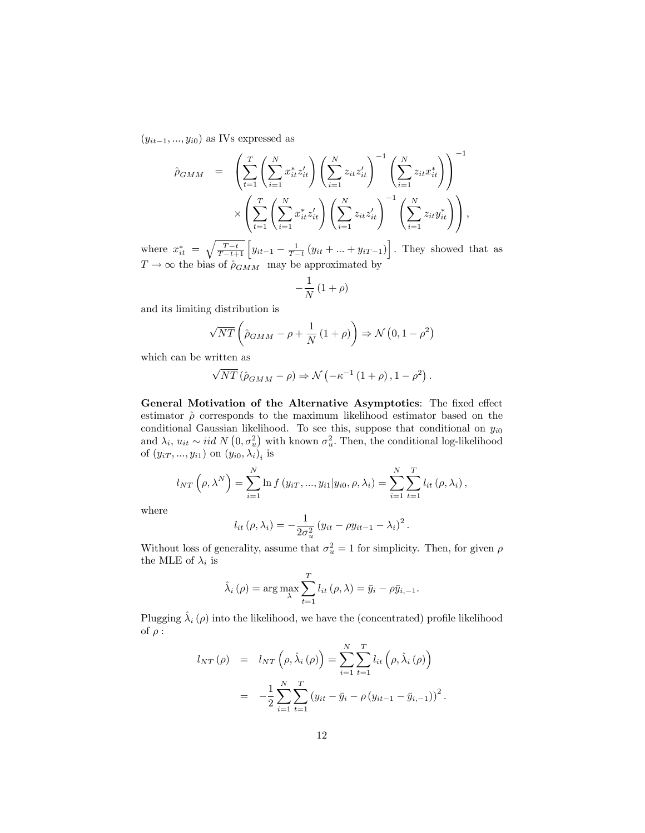$(y_{it-1}, ..., y_{i0})$  as IVs expressed as

$$
\hat{\rho}_{GMM} = \left( \sum_{t=1}^{T} \left( \sum_{i=1}^{N} x_{it}^{*} z_{it}' \right) \left( \sum_{i=1}^{N} z_{it} z_{it}' \right)^{-1} \left( \sum_{i=1}^{N} z_{it} x_{it}^{*} \right) \right)^{-1} \times \left( \sum_{t=1}^{T} \left( \sum_{i=1}^{N} x_{it}^{*} z_{it}' \right) \left( \sum_{i=1}^{N} z_{it} z_{it}' \right)^{-1} \left( \sum_{i=1}^{N} z_{it} y_{it}^{*} \right) \right),
$$

where  $x_{it}^{*} = \sqrt{\frac{T-t}{T-t+1}} \left[ y_{it-1} - \frac{1}{T-t} (y_{it} + ... + y_{iT-1}) \right]$ . They showed that as  $T \to \infty$  the bias of  $\rho_{GMM}$  may be approximated by

$$
-\frac{1}{N}\left(1+\rho\right)
$$

and its limiting distribution is

$$
\sqrt{NT}\left(\hat{\rho}_{GMM} - \rho + \frac{1}{N}\left(1 + \rho\right)\right) \Rightarrow \mathcal{N}\left(0, 1 - \rho^2\right)
$$

which can be written as

$$
\sqrt{NT} (\hat{\rho}_{GMM} - \rho) \Rightarrow \mathcal{N} ( -\kappa^{-1} (1+\rho), 1-\rho^2).
$$

General Motivation of the Alternative Asymptotics: The fixed effect estimator  $\hat{\rho}$  corresponds to the maximum likelihood estimator based on the conditional Gaussian likelihood. To see this, suppose that conditional on  $y_{i0}$ and  $\lambda_i$ ,  $u_{it} \sim \text{iid } N(0, \sigma_u^2)$  with known  $\sigma_u^2$ . Then, the conditional log-likelihood of  $(y_{iT}, ..., y_{i1})$  on  $(y_{i0}, \lambda_i)_i$  is

$$
l_{NT}\left(\rho,\lambda^{N}\right) = \sum_{i=1}^{N} \ln f(y_{iT},...,y_{i1}|y_{i0},\rho,\lambda_i) = \sum_{i=1}^{N} \sum_{t=1}^{T} l_{it}\left(\rho,\lambda_i\right),
$$

where

$$
l_{it}(\rho,\lambda_i) = -\frac{1}{2\sigma_u^2} (y_{it} - \rho y_{it-1} - \lambda_i)^2.
$$

Without loss of generality, assume that  $\sigma_u^2 = 1$  for simplicity. Then, for given  $\rho$ the MLE of  $\lambda_i$  is

$$
\hat{\lambda}_{i}(\rho) = \arg \max_{\lambda} \sum_{t=1}^{T} l_{it}(\rho, \lambda) = \bar{y}_{i} - \rho \bar{y}_{i, -1}.
$$

Plugging  $\hat{\lambda}_i(\rho)$  into the likelihood, we have the (concentrated) profile likelihood of  $\rho$  :

$$
l_{NT}(\rho) = l_{NT}(\rho, \hat{\lambda}_i(\rho)) = \sum_{i=1}^{N} \sum_{t=1}^{T} l_{it}(\rho, \hat{\lambda}_i(\rho))
$$
  
= 
$$
-\frac{1}{2} \sum_{i=1}^{N} \sum_{t=1}^{T} (y_{it} - \bar{y}_i - \rho (y_{it-1} - \bar{y}_{i,-1}))^2.
$$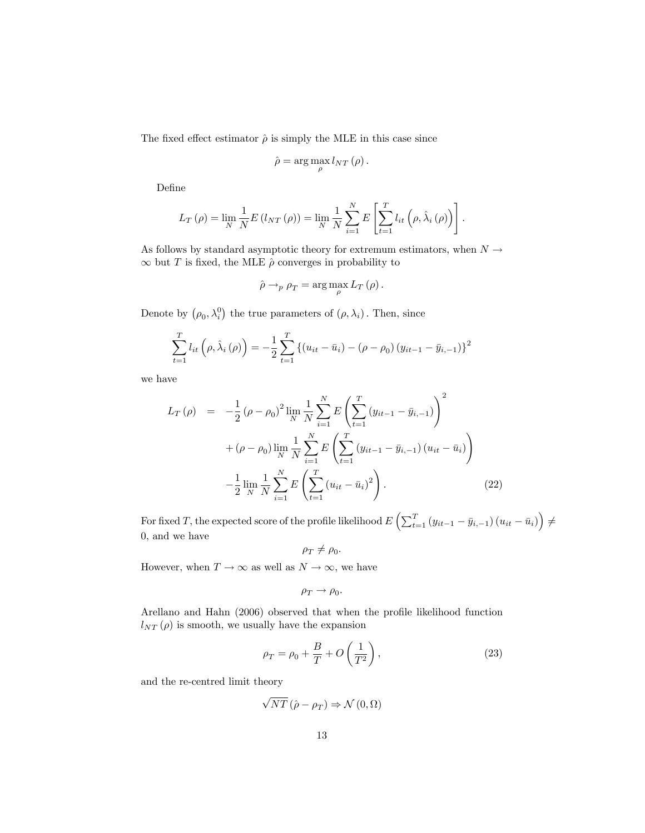The fixed effect estimator  $\hat{\rho}$  is simply the MLE in this case since

$$
\hat{\rho} = \arg\max_{\rho} l_{NT}(\rho).
$$

DeÖne

$$
L_T(\rho) = \lim_{N} \frac{1}{N} E(l_{NT}(\rho)) = \lim_{N} \frac{1}{N} \sum_{i=1}^{N} E\left[\sum_{t=1}^{T} l_{it}\left(\rho, \hat{\lambda}_i(\rho)\right)\right].
$$

As follows by standard asymptotic theory for extremum estimators, when  $N \rightarrow$  $\infty$  but T is fixed, the MLE  $\hat{\rho}$  converges in probability to

$$
\hat{\rho} \rightarrow_{p} \rho_{T} = \arg \max_{\rho} L_{T}(\rho).
$$

Denote by  $(\rho_0, \lambda_i^0)$  the true parameters of  $(\rho, \lambda_i)$ . Then, since

$$
\sum_{t=1}^{T} l_{it} \left( \rho, \hat{\lambda}_i \left( \rho \right) \right) = -\frac{1}{2} \sum_{t=1}^{T} \left\{ \left( u_{it} - \bar{u}_i \right) - \left( \rho - \rho_0 \right) \left( y_{it-1} - \bar{y}_{i,-1} \right) \right\}^2
$$

we have

$$
L_T(\rho) = -\frac{1}{2} (\rho - \rho_0)^2 \lim_{N} \frac{1}{N} \sum_{i=1}^{N} E\left(\sum_{t=1}^{T} (y_{it-1} - \bar{y}_{i,-1})\right)^2
$$
  
+  $(\rho - \rho_0) \lim_{N} \frac{1}{N} \sum_{i=1}^{N} E\left(\sum_{t=1}^{T} (y_{it-1} - \bar{y}_{i,-1}) (u_{it} - \bar{u}_i)\right)$   
-  $\frac{1}{2} \lim_{N} \frac{1}{N} \sum_{i=1}^{N} E\left(\sum_{t=1}^{T} (u_{it} - \bar{u}_i)^2\right).$  (22)

For fixed T, the expected score of the profile likelihood  $E\left(\sum_{t=1}^T \left(y_{it-1} - \bar{y}_{i,-1}\right)\left(u_{it} - \bar{u}_i\right)\right) \neq 0$ 0; and we have

 $\rho_T \neq \rho_0.$ 

However, when  $T \to \infty$  as well as  $N \to \infty$ , we have

$$
\rho_T \rightarrow \rho_0.
$$

Arellano and Hahn (2006) observed that when the profile likelihood function  $l_{NT}(\rho)$  is smooth, we usually have the expansion

$$
\rho_T = \rho_0 + \frac{B}{T} + O\left(\frac{1}{T^2}\right),\tag{23}
$$

and the re-centred limit theory

$$
\sqrt{NT}\left(\hat{\rho}-\rho_T\right) \Rightarrow \mathcal{N}\left(0,\Omega\right)
$$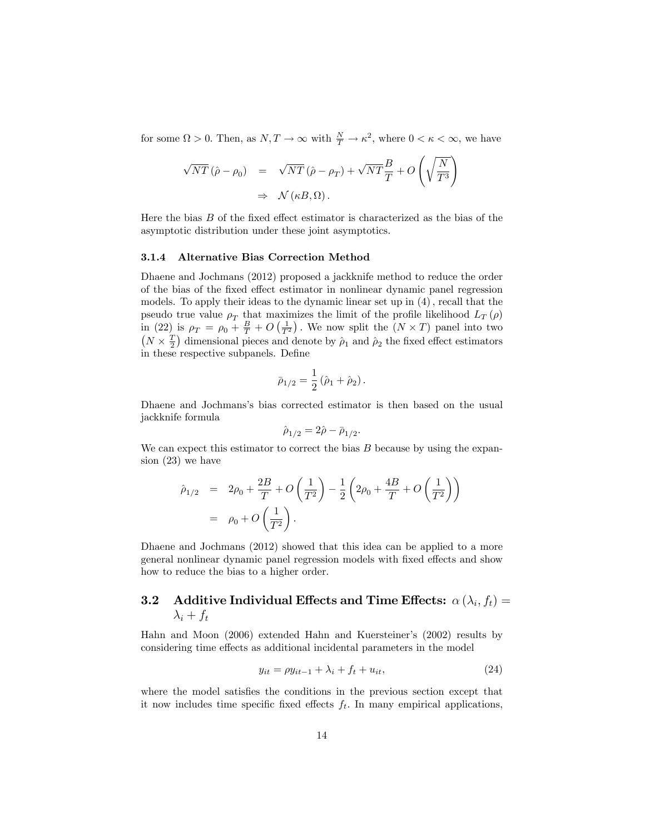for some  $\Omega > 0$ . Then, as  $N, T \to \infty$  with  $\frac{N}{T} \to \kappa^2$ , where  $0 < \kappa < \infty$ , we have

$$
\sqrt{NT} (\hat{\rho} - \rho_0) = \sqrt{NT} (\hat{\rho} - \rho_T) + \sqrt{NT} \frac{B}{T} + O\left(\sqrt{\frac{N}{T^3}}\right)
$$
  

$$
\Rightarrow \mathcal{N} (\kappa B, \Omega).
$$

Here the bias  $B$  of the fixed effect estimator is characterized as the bias of the asymptotic distribution under these joint asymptotics.

#### 3.1.4 Alternative Bias Correction Method

Dhaene and Jochmans (2012) proposed a jackknife method to reduce the order of the bias of the fixed effect estimator in nonlinear dynamic panel regression models. To apply their ideas to the dynamic linear set up in  $(4)$ , recall that the pseudo true value  $\rho_T$  that maximizes the limit of the profile likelihood  $L_T(\rho)$ in (22) is  $\rho_T = \rho_0 + \frac{B}{T} + O\left(\frac{1}{T^2}\right)$ . We now split the  $(N \times T)$  panel into two  $(N \times \frac{T}{2})$  dimensional pieces and denote by  $\hat{\rho}_1$  and  $\hat{\rho}_2$  the fixed effect estimators in these respective subpanels. Define

$$
\bar{\rho}_{1/2} = \frac{1}{2} (\hat{\rho}_1 + \hat{\rho}_2).
$$

Dhaene and Jochmansís bias corrected estimator is then based on the usual jackknife formula

$$
\hat{\rho}_{1/2} = 2\hat{\rho} - \bar{\rho}_{1/2}.
$$

We can expect this estimator to correct the bias  $B$  because by using the expansion (23) we have

$$
\hat{\rho}_{1/2} = 2\rho_0 + \frac{2B}{T} + O\left(\frac{1}{T^2}\right) - \frac{1}{2}\left(2\rho_0 + \frac{4B}{T} + O\left(\frac{1}{T^2}\right)\right) \n= \rho_0 + O\left(\frac{1}{T^2}\right).
$$

Dhaene and Jochmans (2012) showed that this idea can be applied to a more general nonlinear dynamic panel regression models with fixed effects and show how to reduce the bias to a higher order.

### **3.2** Additive Individual Effects and Time Effects:  $\alpha\left(\lambda_i, f_t\right) =$  $\lambda_i + f_t$

Hahn and Moon (2006) extended Hahn and Kuersteiner's (2002) results by considering time effects as additional incidental parameters in the model

$$
y_{it} = \rho y_{it-1} + \lambda_i + f_t + u_{it},\tag{24}
$$

where the model satisfies the conditions in the previous section except that it now includes time specific fixed effects  $f_t$ . In many empirical applications,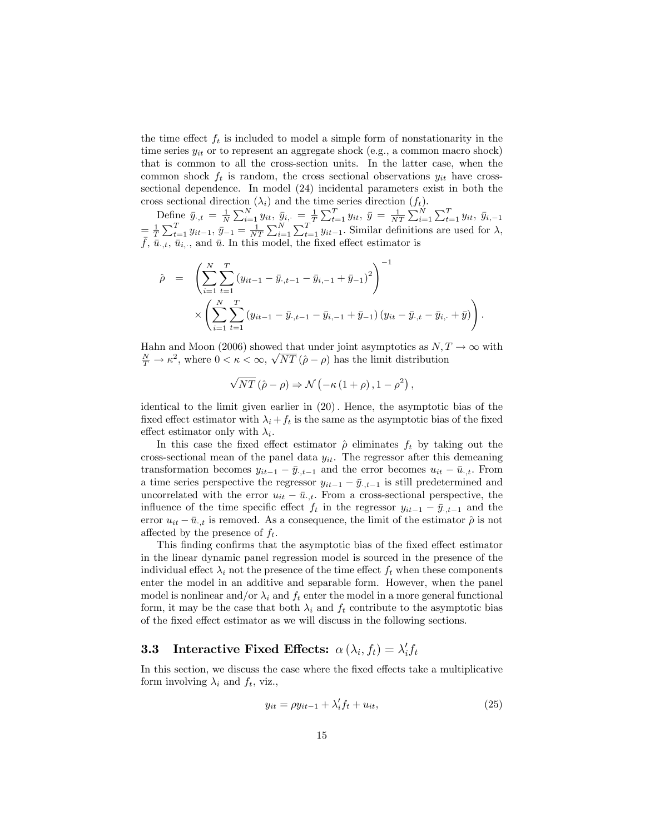the time effect  $f_t$  is included to model a simple form of nonstationarity in the time series  $y_{it}$  or to represent an aggregate shock (e.g., a common macro shock) that is common to all the cross-section units. In the latter case, when the common shock  $f_t$  is random, the cross sectional observations  $y_{it}$  have crosssectional dependence. In model (24) incidental parameters exist in both the cross sectional direction  $(\lambda_i)$  and the time series direction  $(f_t)$ .

Define  $\bar{y}_{\cdot,t} = \frac{1}{N} \sum_{i=1}^{N} y_{it}, \ \bar{y}_{i,\cdot} = \frac{1}{T} \sum_{t=1}^{T} y_{it}, \ \bar{y} = \frac{1}{NT} \sum_{i=1}^{N} \sum_{t=1}^{T} y_{it}, \ \bar{y}_{i,-1}$  $=\frac{1}{T}\sum_{t=1}^T y_{it-1}, \bar{y}_{-1}=\frac{1}{NT}\sum_{i=1}^N \sum_{t=1}^T y_{it-1}.$  Similar definitions are used for  $\lambda$ ,  $\overline{f}$ ,  $\overline{\overline{u}}_{i,t}$ ,  $\overline{\overline{u}}_{i,t}$ , and  $\overline{u}$ . In this model, the fixed effect estimator is

$$
\hat{\rho} = \left( \sum_{i=1}^{N} \sum_{t=1}^{T} (y_{it-1} - \bar{y}_{\cdot, t-1} - \bar{y}_{i, -1} + \bar{y}_{-1})^2 \right)^{-1} \times \left( \sum_{i=1}^{N} \sum_{t=1}^{T} (y_{it-1} - \bar{y}_{\cdot, t-1} - \bar{y}_{i, -1} + \bar{y}_{-1}) (y_{it} - \bar{y}_{\cdot, t} - \bar{y}_{i, \cdot} + \bar{y}) \right).
$$

Hahn and Moon (2006) showed that under joint asymptotics as  $N, T \to \infty$  with  $\frac{N}{T} \rightarrow \kappa^2$ , where  $0 < \kappa < \infty$ ,  $\sqrt{NT} (\hat{\rho} - \rho)$  has the limit distribution

$$
\sqrt{NT} (\hat{\rho} - \rho) \Rightarrow \mathcal{N} ( -\kappa (1 + \rho), 1 - \rho^2) ,
$$

identical to the limit given earlier in (20): Hence, the asymptotic bias of the fixed effect estimator with  $\lambda_i + f_t$  is the same as the asymptotic bias of the fixed effect estimator only with  $\lambda_i$ .

In this case the fixed effect estimator  $\hat{\rho}$  eliminates  $f_t$  by taking out the cross-sectional mean of the panel data  $y_{it}$ . The regressor after this demeaning transformation becomes  $y_{it-1} - \bar{y}_{t,t-1}$  and the error becomes  $u_{it} - \bar{u}_{t,t}$ . From a time series perspective the regressor  $y_{it-1} - \bar{y}_{t-1}$  is still predetermined and uncorrelated with the error  $u_{it} - \bar{u}_{\cdot,t}$ . From a cross-sectional perspective, the influence of the time specific effect  $f_t$  in the regressor  $y_{it-1} - \bar{y}_{t,t-1}$  and the error  $u_{it} - \bar{u}_{t,t}$  is removed. As a consequence, the limit of the estimator  $\hat{\rho}$  is not affected by the presence of  $f_t$ .

This finding confirms that the asymptotic bias of the fixed effect estimator in the linear dynamic panel regression model is sourced in the presence of the individual effect  $\lambda_i$  not the presence of the time effect  $f_t$  when these components enter the model in an additive and separable form. However, when the panel model is nonlinear and/or  $\lambda_i$  and  $f_t$  enter the model in a more general functional form, it may be the case that both  $\lambda_i$  and  $f_t$  contribute to the asymptotic bias of the fixed effect estimator as we will discuss in the following sections.

# **3.3** Interactive Fixed Effects:  $\alpha(\lambda_i, f_t) = \lambda'_i f_t$

In this section, we discuss the case where the fixed effects take a multiplicative form involving  $\lambda_i$  and  $f_t$ , viz.,

$$
y_{it} = \rho y_{it-1} + \lambda_i' f_t + u_{it},\tag{25}
$$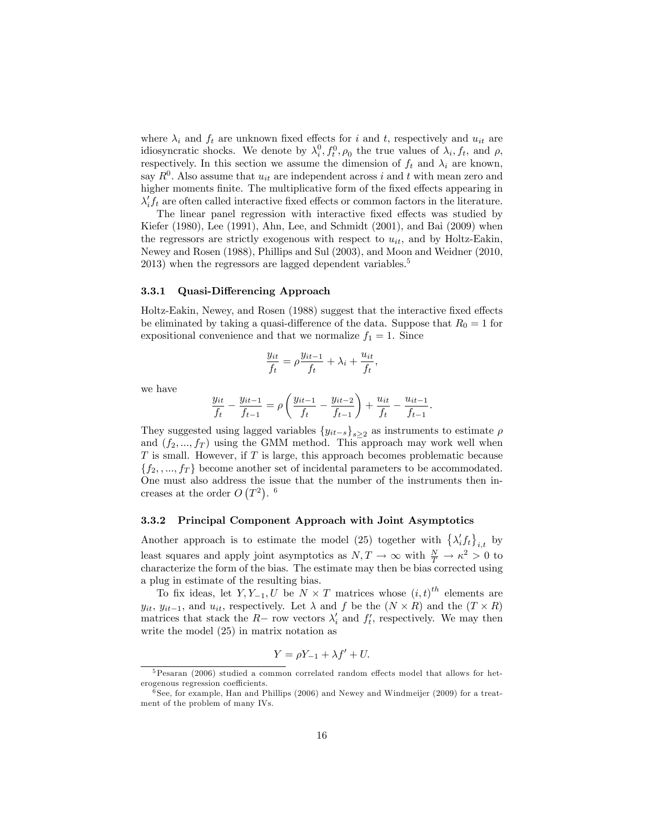where  $\lambda_i$  and  $f_t$  are unknown fixed effects for i and t, respectively and  $u_{it}$  are idiosyncratic shocks. We denote by  $\lambda_i^0, f_t^0, \rho_0$  the true values of  $\lambda_i, f_t$ , and  $\rho$ , respectively. In this section we assume the dimension of  $f_t$  and  $\lambda_i$  are known, say  $R^0$ . Also assume that  $u_{it}$  are independent across i and t with mean zero and higher moments finite. The multiplicative form of the fixed effects appearing in  $\lambda_i' f_t$  are often called interactive fixed effects or common factors in the literature.

The linear panel regression with interactive fixed effects was studied by Kiefer (1980), Lee (1991), Ahn, Lee, and Schmidt (2001), and Bai (2009) when the regressors are strictly exogenous with respect to  $u_{it}$ , and by Holtz-Eakin, Newey and Rosen (1988), Phillips and Sul (2003), and Moon and Weidner (2010, 2013) when the regressors are lagged dependent variables.<sup>5</sup>

#### 3.3.1 Quasi-Differencing Approach

Holtz-Eakin, Newey, and Rosen (1988) suggest that the interactive fixed effects be eliminated by taking a quasi-difference of the data. Suppose that  $R_0 = 1$  for expositional convenience and that we normalize  $f_1 = 1$ . Since

$$
\frac{y_{it}}{f_t} = \rho \frac{y_{it-1}}{f_t} + \lambda_i + \frac{u_{it}}{f_t},
$$

we have

$$
\frac{y_{it}}{f_t} - \frac{y_{it-1}}{f_{t-1}} = \rho \left( \frac{y_{it-1}}{f_t} - \frac{y_{it-2}}{f_{t-1}} \right) + \frac{u_{it}}{f_t} - \frac{u_{it-1}}{f_{t-1}}.
$$

They suggested using lagged variables  $\{y_{it-s}\}_{s\geq2}$  as instruments to estimate  $\rho$ and  $(f_2, ..., f_T)$  using the GMM method. This approach may work well when  $T$  is small. However, if  $T$  is large, this approach becomes problematic because  ${f_2, ..., f_T}$  become another set of incidental parameters to be accommodated. One must also address the issue that the number of the instruments then increases at the order  $O(T^2)$ . <sup>6</sup>

#### 3.3.2 Principal Component Approach with Joint Asymptotics

Another approach is to estimate the model (25) together with  $\left\{\lambda_i' f_t\right\}_{i,t}$  by least squares and apply joint asymptotics as  $N, T \to \infty$  with  $\frac{N}{T} \to \kappa^2 > 0$  to characterize the form of the bias. The estimate may then be bias corrected using a plug in estimate of the resulting bias.

To fix ideas, let  $Y, Y_{-1}, U$  be  $N \times T$  matrices whose  $(i, t)^{th}$  elements are  $y_{it}, y_{it-1}$ , and  $u_{it}$ , respectively. Let  $\lambda$  and f be the  $(N \times R)$  and the  $(T \times R)$ matrices that stack the  $R-$  row vectors  $\lambda'_{i}$  and  $f'_{t}$ , respectively. We may then write the model (25) in matrix notation as

$$
Y = \rho Y_{-1} + \lambda f' + U.
$$

 $5$ Pesaran (2006) studied a common correlated random effects model that allows for heterogenous regression coefficients.

<sup>6</sup> See, for example, Han and Phillips (2006) and Newey and Windmeijer (2009) for a treatment of the problem of many IVs.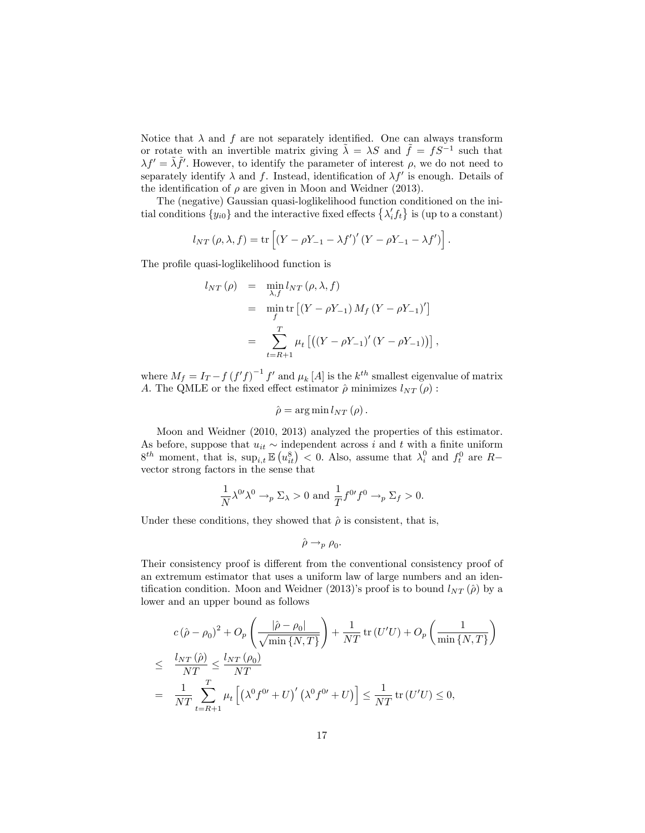Notice that  $\lambda$  and  $f$  are not separately identified. One can always transform or rotate with an invertible matrix giving  $\tilde{\lambda} = \lambda S$  and  $\tilde{f} = fS^{-1}$  such that  $\lambda f' = \tilde{\lambda} \tilde{f}'$ . However, to identify the parameter of interest  $\rho$ , we do not need to separately identify  $\lambda$  and f. Instead, identification of  $\lambda f'$  is enough. Details of the identification of  $\rho$  are given in Moon and Weidner (2013).

The (negative) Gaussian quasi-loglikelihood function conditioned on the initial conditions  $\{y_{i0}\}\$ and the interactive fixed effects  $\{\lambda_i' f_t\}$  is (up to a constant)

$$
l_{NT}(\rho,\lambda,f) = \text{tr}\left[ \left( Y - \rho Y_{-1} - \lambda f' \right)' \left( Y - \rho Y_{-1} - \lambda f' \right) \right].
$$

The profile quasi-loglikelihood function is

$$
l_{NT}(\rho) = \min_{\lambda, f} l_{NT}(\rho, \lambda, f)
$$
  
=  $\min_{f} \text{tr} [(Y - \rho Y_{-1}) M_f (Y - \rho Y_{-1})']$   
=  $\sum_{t=R+1}^{T} \mu_t [(Y - \rho Y_{-1})' (Y - \rho Y_{-1}))],$ 

where  $M_f = I_T - f (f'f)^{-1} f'$  and  $\mu_k[A]$  is the  $k^{th}$  smallest eigenvalue of matrix A. The QMLE or the fixed effect estimator  $\hat{\rho}$  minimizes  $l_{NT} (\rho)$ :

$$
\hat{\rho} = \arg \min l_{NT}(\rho).
$$

Moon and Weidner (2010, 2013) analyzed the properties of this estimator. As before, suppose that  $u_{it} \sim$  independent across i and t with a finite uniform  $8^{th}$  moment, that is,  $\sup_{i,t} \mathbb{E} (u_{it}^8) < 0$ . Also, assume that  $\lambda_i^0$  and  $f_t^0$  are  $R$ vector strong factors in the sense that

$$
\frac{1}{N}\lambda^{0\prime}\lambda^0 \to_p \Sigma_\lambda > 0 \text{ and } \frac{1}{T}f^{0\prime}f^0 \to_p \Sigma_f > 0.
$$

Under these conditions, they showed that  $\hat{\rho}$  is consistent, that is,

$$
\hat{\rho} \to_p \rho_0.
$$

Their consistency proof is different from the conventional consistency proof of an extremum estimator that uses a uniform law of large numbers and an identification condition. Moon and Weidner (2013)'s proof is to bound  $l_{NT}(\hat{\rho})$  by a lower and an upper bound as follows

$$
c(\hat{\rho} - \rho_0)^2 + O_p\left(\frac{|\hat{\rho} - \rho_0|}{\sqrt{\min\{N, T\}}}\right) + \frac{1}{NT}\operatorname{tr}(U'U) + O_p\left(\frac{1}{\min\{N, T\}}\right)
$$
  

$$
\leq \frac{l_{NT}(\hat{\rho})}{NT} \leq \frac{l_{NT}(\rho_0)}{NT}
$$
  

$$
= \frac{1}{NT}\sum_{t=R+1}^T \mu_t \left[ \left(\lambda^0 f^{0'} + U\right)' \left(\lambda^0 f^{0'} + U\right) \right] \leq \frac{1}{NT}\operatorname{tr}(U'U) \leq 0,
$$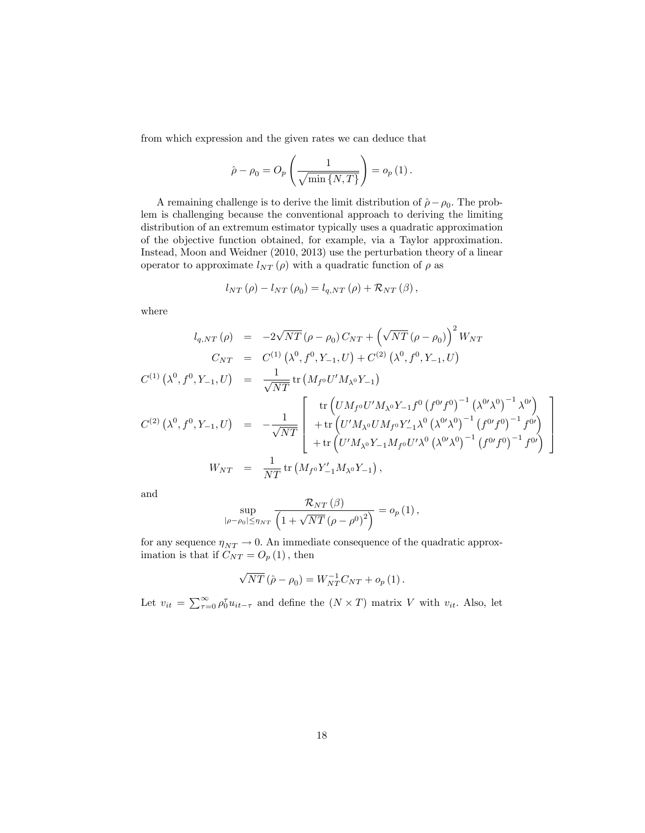from which expression and the given rates we can deduce that

 $\overline{\phantom{a}}$ 

$$
\hat{\rho} - \rho_0 = O_p\left(\frac{1}{\sqrt{\min\{N, T\}}}\right) = o_p(1).
$$

A remaining challenge is to derive the limit distribution of  $\hat{\rho} - \rho_0$ . The problem is challenging because the conventional approach to deriving the limiting distribution of an extremum estimator typically uses a quadratic approximation of the objective function obtained, for example, via a Taylor approximation. Instead, Moon and Weidner (2010, 2013) use the perturbation theory of a linear operator to approximate  $l_{NT}(\rho)$  with a quadratic function of  $\rho$  as

$$
l_{NT}(\rho) - l_{NT}(\rho_0) = l_{q,NT}(\rho) + \mathcal{R}_{NT}(\beta),
$$

where

$$
l_{q,NT}(\rho) = -2\sqrt{NT} (\rho - \rho_0) C_{NT} + (\sqrt{NT} (\rho - \rho_0))^{2} W_{NT}
$$
  
\n
$$
C_{NT} = C^{(1)} (\lambda^{0}, f^{0}, Y_{-1}, U) + C^{(2)} (\lambda^{0}, f^{0}, Y_{-1}, U)
$$
  
\n
$$
C^{(1)} (\lambda^{0}, f^{0}, Y_{-1}, U) = \frac{1}{\sqrt{NT}} tr (M_{f^{0}} U' M_{\lambda^{0}} Y_{-1})
$$
  
\n
$$
C^{(2)} (\lambda^{0}, f^{0}, Y_{-1}, U) = -\frac{1}{\sqrt{NT}} \begin{bmatrix} tr (U M_{f^{0}} U' M_{\lambda^{0}} Y_{-1} f^{0} (f^{0} f^{0})^{-1} (\lambda^{0} \lambda^{0})^{-1} \lambda^{0} ) \\ + tr (U' M_{\lambda^{0}} U M_{f^{0}} Y'_{-1} \lambda^{0} (\lambda^{0} \lambda^{0})^{-1} (f^{0} f^{0})^{-1} f^{0} ) \\ + tr (U' M_{\lambda^{0}} Y_{-1} M_{f^{0}} U' \lambda^{0} (\lambda^{0} \lambda^{0})^{-1} (f^{0} f^{0})^{-1} f^{0} ) \end{bmatrix}
$$
  
\n
$$
W_{NT} = \frac{1}{NT} tr (M_{f^{0}} Y'_{-1} M_{\lambda^{0}} Y_{-1}),
$$

3  $\mathbf{1}$  $\mathbf{r}$  $\mathbf{I}$  $\overline{1}$ 

and

$$
\sup_{\left|\rho-\rho_0\right|\leq\eta_{NT}}\frac{\mathcal{R}_{NT}\left(\beta\right)}{\left(1+\sqrt{NT}\left(\rho-\rho^0\right)^2\right)}=o_p\left(1\right),\,
$$

for any sequence  $\eta_{NT} \to 0$ . An immediate consequence of the quadratic approximation is that if  $C_{NT} = O_p(1)$ , then

$$
\sqrt{NT} \left( \hat{\rho} - \rho_0 \right) = W_{NT}^{-1} C_{NT} + o_p \left( 1 \right).
$$

Let  $v_{it} = \sum_{\tau=0}^{\infty} \rho_0^{\tau} u_{it-\tau}$  and define the  $(N \times T)$  matrix V with  $v_{it}$ . Also, let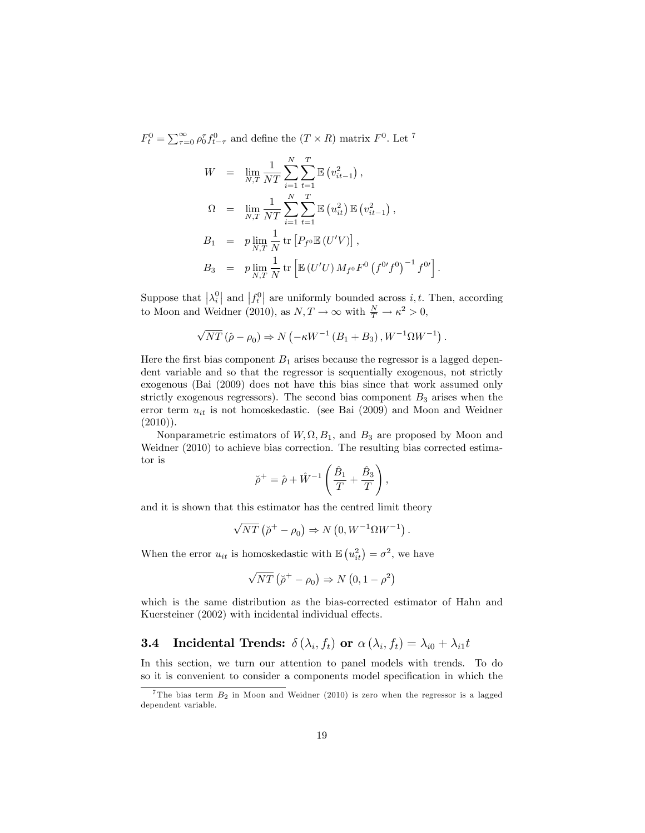$F_t^0 = \sum_{\tau=0}^{\infty} \rho_0^{\tau} f_{t-\tau}^0$  and define the  $(T \times R)$  matrix  $F^0$ . Let <sup>7</sup>

$$
W = \lim_{N,T} \frac{1}{NT} \sum_{i=1}^{N} \sum_{t=1}^{T} \mathbb{E} (v_{it-1}^2),
$$
  
\n
$$
\Omega = \lim_{N,T} \frac{1}{NT} \sum_{i=1}^{N} \sum_{t=1}^{T} \mathbb{E} (u_{it}^2) \mathbb{E} (v_{it-1}^2),
$$
  
\n
$$
B_1 = p \lim_{N,T} \frac{1}{N} \text{tr} [P_{f^0} \mathbb{E} (U'V)],
$$
  
\n
$$
B_3 = p \lim_{N,T} \frac{1}{N} \text{tr} [\mathbb{E} (U'U) M_{f^0} F^0 (f^{0'} f^0)^{-1} f^{0'}]
$$

Suppose that  $\left|\lambda_i^0\right|$  and  $\left|f_t^0\right|$  are uniformly bounded across *i*, *t*. Then, according to Moon and Weidner (2010), as  $N, T \to \infty$  with  $\frac{N}{T} \to \kappa^2 > 0$ ,

:

$$
\sqrt{NT} (\hat{\rho} - \rho_0) \Rightarrow N \left( -\kappa W^{-1} (B_1 + B_3) , W^{-1} \Omega W^{-1} \right).
$$

Here the first bias component  $B_1$  arises because the regressor is a lagged dependent variable and so that the regressor is sequentially exogenous, not strictly exogenous (Bai (2009) does not have this bias since that work assumed only strictly exogenous regressors). The second bias component  $B_3$  arises when the error term  $u_{it}$  is not homoskedastic. (see Bai (2009) and Moon and Weidner  $(2010)$ ).

Nonparametric estimators of  $W$ ,  $\Omega$ ,  $B_1$ , and  $B_3$  are proposed by Moon and Weidner (2010) to achieve bias correction. The resulting bias corrected estimator is

$$
\breve{\rho}^+ = \hat{\rho} + \hat{W}^{-1} \left( \frac{\hat{B}_1}{T} + \frac{\hat{B}_3}{T} \right),
$$

and it is shown that this estimator has the centred limit theory

$$
\sqrt{NT} \left( \tilde{\rho}^+ - \rho_0 \right) \Rightarrow N \left( 0, W^{-1} \Omega W^{-1} \right).
$$

When the error  $u_{it}$  is homoskedastic with  $\mathbb{E}\left(u_{it}^2\right) = \sigma^2$ , we have

$$
\sqrt{NT} \left( \tilde{\rho}^+ - \rho_0 \right) \Rightarrow N \left( 0, 1 - \rho^2 \right)
$$

which is the same distribution as the bias-corrected estimator of Hahn and Kuersteiner (2002) with incidental individual effects.

### **3.4** Incidental Trends:  $\delta\left(\lambda_i, f_t\right)$  or  $\alpha\left(\lambda_i, f_t\right) = \lambda_{i0} + \lambda_{i1}t$

In this section, we turn our attention to panel models with trends. To do so it is convenient to consider a components model specification in which the

<sup>&</sup>lt;sup>7</sup>The bias term  $B_2$  in Moon and Weidner (2010) is zero when the regressor is a lagged dependent variable.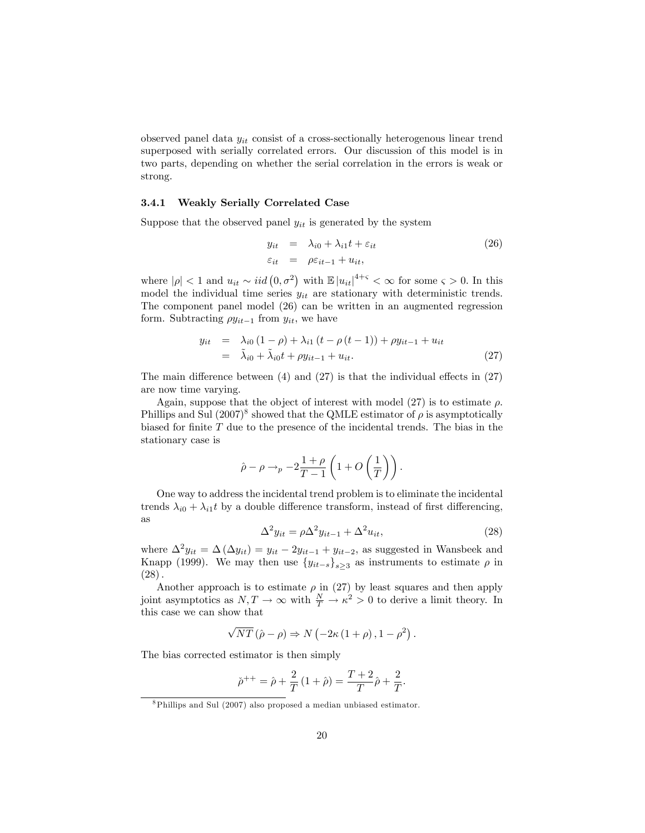observed panel data  $y_{it}$  consist of a cross-sectionally heterogenous linear trend superposed with serially correlated errors. Our discussion of this model is in two parts, depending on whether the serial correlation in the errors is weak or strong.

#### 3.4.1 Weakly Serially Correlated Case

Suppose that the observed panel  $y_{it}$  is generated by the system

$$
y_{it} = \lambda_{i0} + \lambda_{i1}t + \varepsilon_{it}
$$
  
\n
$$
\varepsilon_{it} = \rho \varepsilon_{it-1} + u_{it},
$$
\n(26)

where  $|\rho| < 1$  and  $u_{it} \sim iid(0, \sigma^2)$  with  $\mathbb{E}|u_{it}|^{4+\varsigma} < \infty$  for some  $\varsigma > 0$ . In this model the individual time series  $y_{it}$  are stationary with deterministic trends. The component panel model (26) can be written in an augmented regression form. Subtracting  $\rho y_{it-1}$  from  $y_{it}$ , we have

$$
y_{it} = \lambda_{i0} (1 - \rho) + \lambda_{i1} (t - \rho (t - 1)) + \rho y_{it-1} + u_{it}
$$
  
=  $\lambda_{i0} + \lambda_{i0} t + \rho y_{it-1} + u_{it}.$  (27)

The main difference between  $(4)$  and  $(27)$  is that the individual effects in  $(27)$ are now time varying.

Again, suppose that the object of interest with model (27) is to estimate  $\rho$ . Phillips and Sul  $(2007)^8$  showed that the QMLE estimator of  $\rho$  is asymptotically biased for finite  $T$  due to the presence of the incidental trends. The bias in the stationary case is

$$
\hat{\rho} - \rho \rightarrow_p -2\frac{1+\rho}{T-1}\left(1 + O\left(\frac{1}{T}\right)\right).
$$

One way to address the incidental trend problem is to eliminate the incidental trends  $\lambda_{i0} + \lambda_{i1}t$  by a double difference transform, instead of first differencing, as

$$
\Delta^2 y_{it} = \rho \Delta^2 y_{it-1} + \Delta^2 u_{it},\tag{28}
$$

where  $\Delta^2 y_{it} = \Delta (\Delta y_{it}) = y_{it} - 2y_{it-1} + y_{it-2}$ , as suggested in Wansbeek and Knapp (1999). We may then use  $\{y_{it-s}\}_{s\ge3}$  as instruments to estimate  $\rho$  in  $(28).$ 

Another approach is to estimate  $\rho$  in (27) by least squares and then apply joint asymptotics as  $N, T \to \infty$  with  $\frac{N}{T} \to \kappa^2 > 0$  to derive a limit theory. In this case we can show that

$$
\sqrt{NT}\left(\hat{\rho}-\rho\right) \Rightarrow N\left(-2\kappa\left(1+\rho\right),1-\rho^2\right).
$$

The bias corrected estimator is then simply

$$
\check{\rho}^{++} = \hat{\rho} + \frac{2}{T} (1 + \hat{\rho}) = \frac{T + 2}{T} \hat{\rho} + \frac{2}{T}.
$$

<sup>8</sup>Phillips and Sul (2007) also proposed a median unbiased estimator.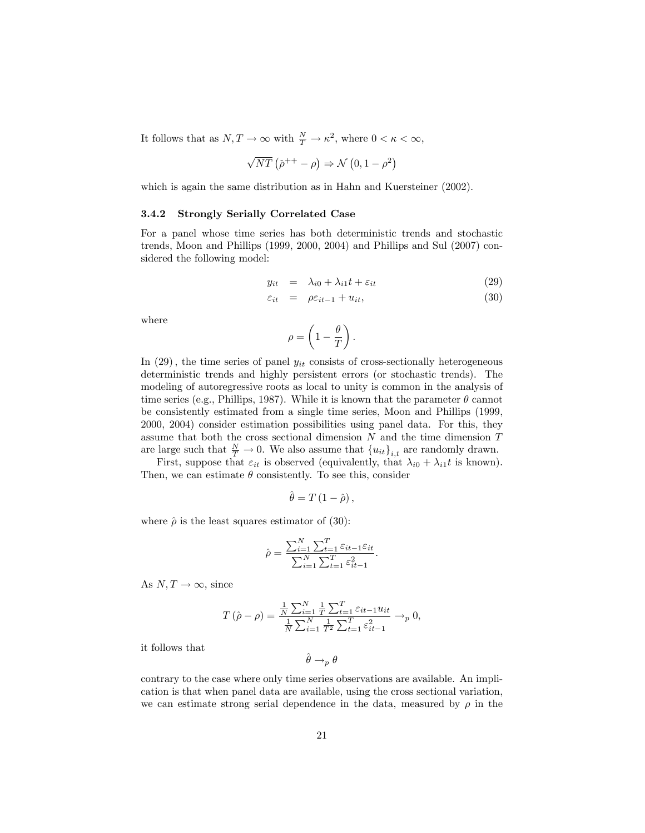It follows that as  $N, T \to \infty$  with  $\frac{N}{T} \to \kappa^2$ , where  $0 < \kappa < \infty$ ,

$$
\sqrt{NT} \left( \tilde{\rho}^{++} - \rho \right) \Rightarrow \mathcal{N} \left( 0, 1 - \rho^2 \right)
$$

which is again the same distribution as in Hahn and Kuersteiner (2002).

#### 3.4.2 Strongly Serially Correlated Case

For a panel whose time series has both deterministic trends and stochastic trends, Moon and Phillips (1999, 2000, 2004) and Phillips and Sul (2007) considered the following model:

$$
y_{it} = \lambda_{i0} + \lambda_{i1}t + \varepsilon_{it} \tag{29}
$$

$$
\varepsilon_{it} = \rho \varepsilon_{it-1} + u_{it}, \tag{30}
$$

where

$$
\rho = \left(1-\frac{\theta}{T}\right).
$$

In  $(29)$ , the time series of panel  $y_{it}$  consists of cross-sectionally heterogeneous deterministic trends and highly persistent errors (or stochastic trends). The modeling of autoregressive roots as local to unity is common in the analysis of time series (e.g., Phillips, 1987). While it is known that the parameter  $\theta$  cannot be consistently estimated from a single time series, Moon and Phillips (1999, 2000, 2004) consider estimation possibilities using panel data. For this, they assume that both the cross sectional dimension  $N$  and the time dimension  $T$ are large such that  $\frac{N}{T} \to 0$ . We also assume that  ${u_{it}}_{i,t}$  are randomly drawn.

First, suppose that  $\varepsilon_{it}$  is observed (equivalently, that  $\lambda_{i0} + \lambda_{i1}t$  is known). Then, we can estimate  $\theta$  consistently. To see this, consider

$$
\hat{\theta}=T\left(1-\hat{\rho}\right),\,
$$

where  $\hat{\rho}$  is the least squares estimator of (30):

$$
\hat{\rho} = \frac{\sum_{i=1}^{N} \sum_{t=1}^{T} \varepsilon_{it-1} \varepsilon_{it}}{\sum_{i=1}^{N} \sum_{t=1}^{T} \varepsilon_{it-1}^{2}}.
$$

As  $N, T \rightarrow \infty$ , since

$$
T(\hat{\rho} - \rho) = \frac{\frac{1}{N} \sum_{i=1}^{N} \frac{1}{T} \sum_{t=1}^{T} \varepsilon_{it-1} u_{it}}{\frac{1}{N} \sum_{i=1}^{N} \frac{1}{T^2} \sum_{t=1}^{T} \varepsilon_{it-1}^2} \to_{p} 0,
$$

it follows that

$$
\hat{\theta} \to_p \theta
$$

contrary to the case where only time series observations are available. An implication is that when panel data are available, using the cross sectional variation, we can estimate strong serial dependence in the data, measured by  $\rho$  in the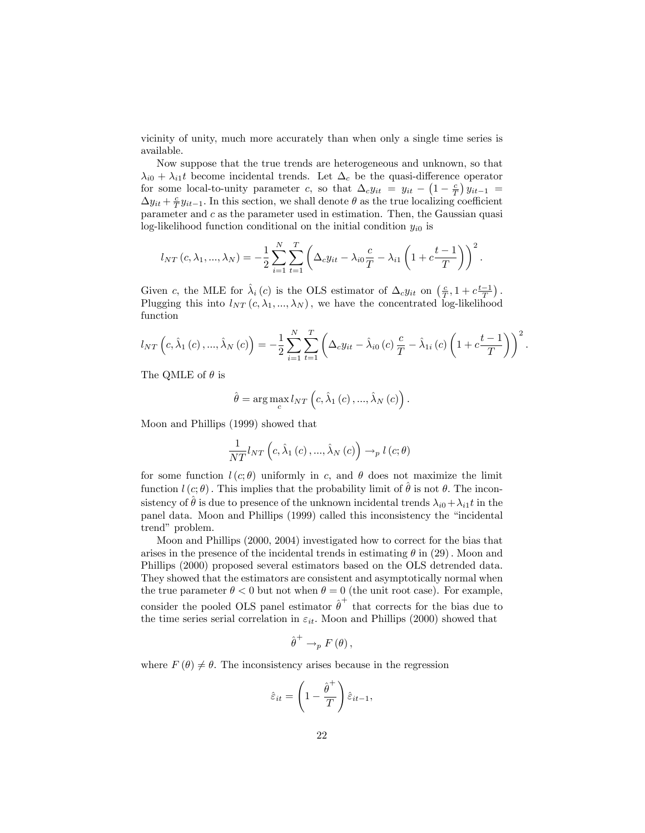vicinity of unity, much more accurately than when only a single time series is available.

Now suppose that the true trends are heterogeneous and unknown, so that  $\lambda_{i0} + \lambda_{i1}t$  become incidental trends. Let  $\Delta_c$  be the quasi-difference operator for some local-to-unity parameter c, so that  $\Delta_c y_{it} = y_{it} - \left(1 - \frac{c}{T}\right)y_{it-1} =$  $\Delta y_{it} + \frac{c}{T} y_{it-1}$ . In this section, we shall denote  $\theta$  as the true localizing coefficient parameter and  $c$  as the parameter used in estimation. Then, the Gaussian quasi log-likelihood function conditional on the initial condition  $y_{i0}$  is

$$
l_{NT}(c, \lambda_1, ..., \lambda_N) = -\frac{1}{2} \sum_{i=1}^{N} \sum_{t=1}^{T} \left( \Delta_c y_{it} - \lambda_{i0} \frac{c}{T} - \lambda_{i1} \left( 1 + c \frac{t-1}{T} \right) \right)^2.
$$

Given c, the MLE for  $\hat{\lambda}_i(c)$  is the OLS estimator of  $\Delta_c y_{it}$  on  $\left(\frac{c}{T}, 1 + c \frac{t-1}{T}\right)$ . Plugging this into  $l_{NT}(c, \lambda_1, ..., \lambda_N)$ , we have the concentrated log-likelihood function

$$
l_{NT}\left(c, \hat{\lambda}_{1}\left(c\right), ..., \hat{\lambda}_{N}\left(c\right)\right) = -\frac{1}{2} \sum_{i=1}^{N} \sum_{t=1}^{T} \left(\Delta_{c} y_{it} - \hat{\lambda}_{i0}\left(c\right) \frac{c}{T} - \hat{\lambda}_{1i}\left(c\right) \left(1 + c \frac{t-1}{T}\right)\right)^{2}.
$$

The QMLE of  $\theta$  is

$$
\hat{\theta} = \arg \max_{c} l_{NT}\left(c, \hat{\lambda}_1(c), ..., \hat{\lambda}_N(c)\right).
$$

Moon and Phillips (1999) showed that

$$
\frac{1}{NT}l_{NT}\left(c,\hat{\lambda}_{1}\left(c\right),...,\hat{\lambda}_{N}\left(c\right)\right) \rightarrow_{p} l\left(c;\theta\right)
$$

for some function  $l(c; \theta)$  uniformly in c, and  $\theta$  does not maximize the limit function  $l(c; \theta)$ . This implies that the probability limit of  $\hat{\theta}$  is not  $\theta$ . The inconsistency of  $\hat{\theta}$  is due to presence of the unknown incidental trends  $\lambda_{i0}+\lambda_{i1}t$  in the panel data. Moon and Phillips (1999) called this inconsistency the "incidental trend" problem.

Moon and Phillips (2000, 2004) investigated how to correct for the bias that arises in the presence of the incidental trends in estimating  $\theta$  in (29). Moon and Phillips (2000) proposed several estimators based on the OLS detrended data. They showed that the estimators are consistent and asymptotically normal when the true parameter  $\theta < 0$  but not when  $\theta = 0$  (the unit root case). For example, consider the pooled OLS panel estimator  $\hat{\theta}^+$  that corrects for the bias due to the time series serial correlation in  $\varepsilon_{it}$ . Moon and Phillips (2000) showed that

$$
\hat{\theta}^+ \to_p F(\theta),
$$

where  $F(\theta) \neq \theta$ . The inconsistency arises because in the regression

$$
\hat{\varepsilon}_{it} = \left(1 - \frac{\hat{\theta}^+}{T}\right)\hat{\varepsilon}_{it-1},
$$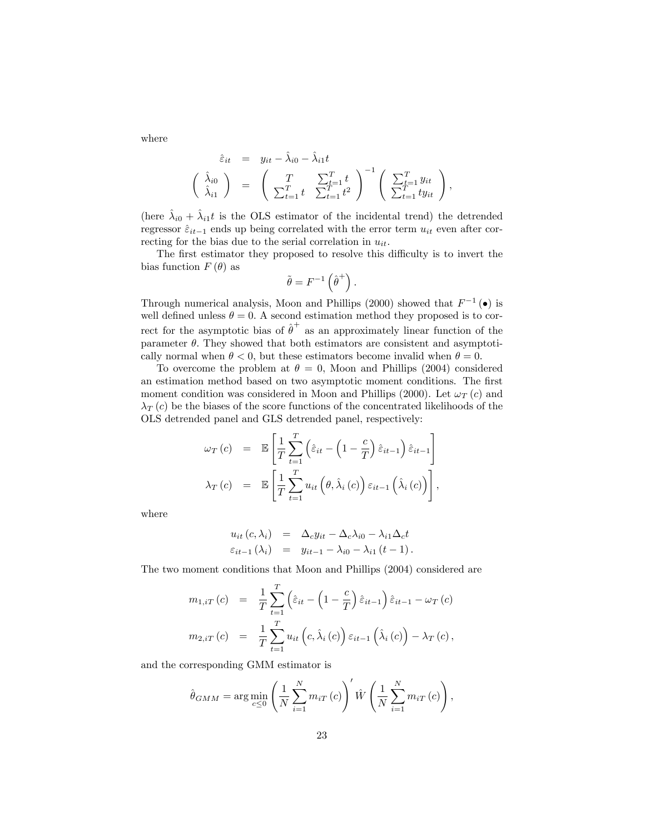where

$$
\hat{\varepsilon}_{it} = y_{it} - \hat{\lambda}_{i0} - \hat{\lambda}_{i1}t
$$
\n
$$
\begin{pmatrix}\n\hat{\lambda}_{i0} \\
\hat{\lambda}_{i1}\n\end{pmatrix} = \begin{pmatrix}\nT & \sum_{t=1}^{T} t \\
\sum_{t=1}^{T} t & \sum_{t=1}^{T} t^{2}\n\end{pmatrix}^{-1} \begin{pmatrix}\n\sum_{t=1}^{T} y_{it} \\
\sum_{t=1}^{T} t y_{it}\n\end{pmatrix},
$$

(here  $\hat{\lambda}_{i0} + \hat{\lambda}_{i1}t$  is the OLS estimator of the incidental trend) the detrended regressor  $\hat{\varepsilon}_{it-1}$  ends up being correlated with the error term  $u_{it}$  even after correcting for the bias due to the serial correlation in  $u_{it}$ .

The first estimator they proposed to resolve this difficulty is to invert the bias function  $F(\theta)$  as

$$
\tilde{\theta} = F^{-1} \left( \hat{\theta}^+ \right).
$$

Through numerical analysis, Moon and Phillips (2000) showed that  $F^{-1}(\bullet)$  is well defined unless  $\theta = 0$ . A second estimation method they proposed is to correct for the asymptotic bias of  $\hat{\theta}^+$  as an approximately linear function of the parameter  $\theta$ . They showed that both estimators are consistent and asymptotically normal when  $\theta < 0$ , but these estimators become invalid when  $\theta = 0$ .

To overcome the problem at  $\theta = 0$ , Moon and Phillips (2004) considered an estimation method based on two asymptotic moment conditions. The first moment condition was considered in Moon and Phillips (2000). Let  $\omega_T(c)$  and  $\lambda_T$  (c) be the biases of the score functions of the concentrated likelihoods of the OLS detrended panel and GLS detrended panel, respectively:

$$
\omega_T(c) = \mathbb{E}\left[\frac{1}{T}\sum_{t=1}^T \left(\hat{\varepsilon}_{it} - \left(1 - \frac{c}{T}\right)\hat{\varepsilon}_{it-1}\right)\hat{\varepsilon}_{it-1}\right] \n\lambda_T(c) = \mathbb{E}\left[\frac{1}{T}\sum_{t=1}^T u_{it}\left(\theta, \hat{\lambda}_i(c)\right)\varepsilon_{it-1}\left(\hat{\lambda}_i(c)\right)\right],
$$

where

$$
u_{it}(c, \lambda_i) = \Delta_c y_{it} - \Delta_c \lambda_{i0} - \lambda_{i1} \Delta_c t
$$
  

$$
\varepsilon_{it-1}(\lambda_i) = y_{it-1} - \lambda_{i0} - \lambda_{i1} (t-1).
$$

The two moment conditions that Moon and Phillips (2004) considered are

$$
m_{1,iT}(c) = \frac{1}{T} \sum_{t=1}^{T} \left( \hat{\varepsilon}_{it} - \left( 1 - \frac{c}{T} \right) \hat{\varepsilon}_{it-1} \right) \hat{\varepsilon}_{it-1} - \omega_T(c)
$$
  

$$
m_{2,iT}(c) = \frac{1}{T} \sum_{t=1}^{T} u_{it} \left( c, \hat{\lambda}_i(c) \right) \varepsilon_{it-1} \left( \hat{\lambda}_i(c) \right) - \lambda_T(c),
$$

and the corresponding GMM estimator is

$$
\hat{\theta}_{GMM} = \arg\min_{c \leq 0} \left( \frac{1}{N} \sum_{i=1}^{N} m_{iT}(c) \right)' \hat{W} \left( \frac{1}{N} \sum_{i=1}^{N} m_{iT}(c) \right),
$$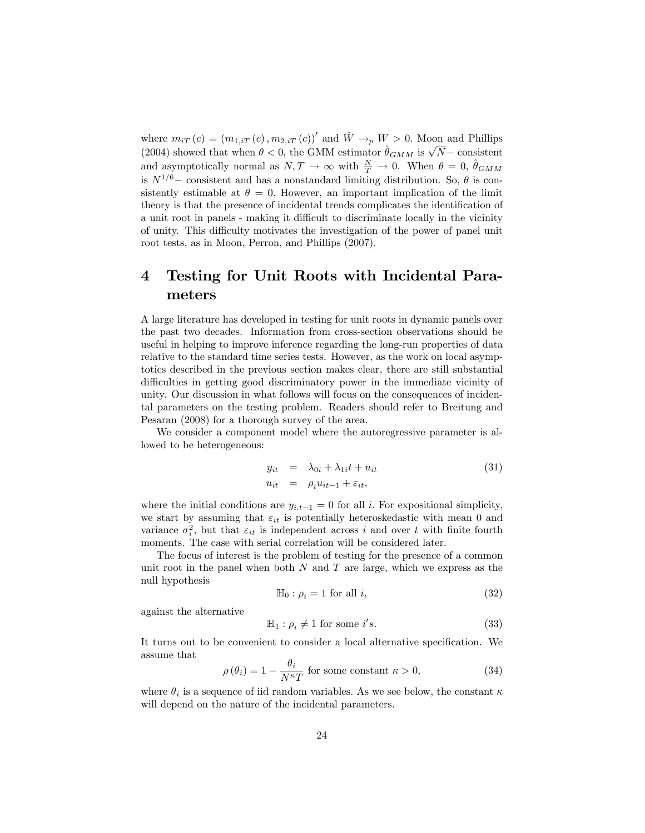where  $m_{iT}(c) = (m_{1,iT}(c), m_{2,iT}(c))'$  and  $\hat{W} \to_p W > 0$ . Moon and Phillips (2004) showed that when  $\theta < 0$ , the GMM estimator  $\hat{\theta}_{GMM}$  is  $\sqrt{N}$  consistent and asymptotically normal as  $N, T \to \infty$  with  $\frac{N}{T} \to 0$ . When  $\theta = 0$ ,  $\hat{\theta}_{GMM}$ is  $N^{1/6}$  consistent and has a nonstandard limiting distribution. So,  $\theta$  is consistently estimable at  $\theta = 0$ . However, an important implication of the limit theory is that the presence of incidental trends complicates the identification of a unit root in panels - making it difficult to discriminate locally in the vicinity of unity. This difficulty motivates the investigation of the power of panel unit root tests, as in Moon, Perron, and Phillips (2007).

# 4 Testing for Unit Roots with Incidental Parameters

A large literature has developed in testing for unit roots in dynamic panels over the past two decades. Information from cross-section observations should be useful in helping to improve inference regarding the long-run properties of data relative to the standard time series tests. However, as the work on local asymptotics described in the previous section makes clear, there are still substantial difficulties in getting good discriminatory power in the immediate vicinity of unity. Our discussion in what follows will focus on the consequences of incidental parameters on the testing problem. Readers should refer to Breitung and Pesaran (2008) for a thorough survey of the area.

We consider a component model where the autoregressive parameter is allowed to be heterogeneous:

$$
y_{it} = \lambda_{0i} + \lambda_{1i}t + u_{it}
$$
  
\n
$$
u_{it} = \rho_i u_{it-1} + \varepsilon_{it},
$$
\n(31)

where the initial conditions are  $y_{i,t-1} = 0$  for all i. For expositional simplicity, we start by assuming that  $\varepsilon_{it}$  is potentially heteroskedastic with mean 0 and variance  $\sigma_i^2$ , but that  $\varepsilon_{it}$  is independent across i and over t with finite fourth moments. The case with serial correlation will be considered later.

The focus of interest is the problem of testing for the presence of a common unit root in the panel when both  $N$  and  $T$  are large, which we express as the null hypothesis

$$
\mathbb{H}_0: \rho_i = 1 \text{ for all } i,
$$
\n(32)

against the alternative

$$
\mathbb{H}_1: \rho_i \neq 1 \text{ for some } i's. \tag{33}
$$

It turns out to be convenient to consider a local alternative specification. We assume that

$$
\rho(\theta_i) = 1 - \frac{\theta_i}{N^{\kappa}T} \text{ for some constant } \kappa > 0,
$$
\n(34)

where  $\theta_i$  is a sequence of iid random variables. As we see below, the constant  $\kappa$ will depend on the nature of the incidental parameters.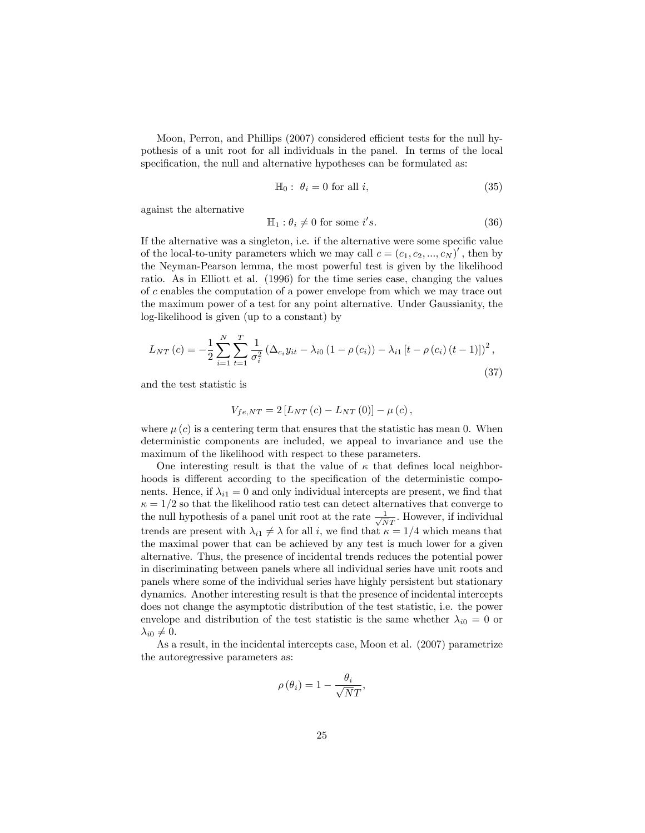Moon, Perron, and Phillips (2007) considered efficient tests for the null hypothesis of a unit root for all individuals in the panel. In terms of the local specification, the null and alternative hypotheses can be formulated as:

$$
\mathbb{H}_0: \ \theta_i = 0 \text{ for all } i,\tag{35}
$$

against the alternative

$$
\mathbb{H}_1: \theta_i \neq 0 \text{ for some } i's.
$$
 (36)

If the alternative was a singleton, i.e. if the alternative were some specific value of the local-to-unity parameters which we may call  $c = (c_1, c_2, ..., c_N)'$ , then by the Neyman-Pearson lemma, the most powerful test is given by the likelihood ratio. As in Elliott et al. (1996) for the time series case, changing the values of c enables the computation of a power envelope from which we may trace out the maximum power of a test for any point alternative. Under Gaussianity, the log-likelihood is given (up to a constant) by

$$
L_{NT}(c) = -\frac{1}{2} \sum_{i=1}^{N} \sum_{t=1}^{T} \frac{1}{\sigma_i^2} \left( \Delta_{c_i} y_{it} - \lambda_{i0} \left( 1 - \rho(c_i) \right) - \lambda_{i1} \left[ t - \rho(c_i) \left( t - 1 \right) \right] \right)^2, \tag{37}
$$

and the test statistic is

$$
V_{fe,NT} = 2[L_{NT}(c) - L_{NT}(0)] - \mu(c),
$$

where  $\mu(c)$  is a centering term that ensures that the statistic has mean 0. When deterministic components are included, we appeal to invariance and use the maximum of the likelihood with respect to these parameters.

One interesting result is that the value of  $\kappa$  that defines local neighborhoods is different according to the specification of the deterministic components. Hence, if  $\lambda_{i1} = 0$  and only individual intercepts are present, we find that  $\kappa = 1/2$  so that the likelihood ratio test can detect alternatives that converge to the null hypothesis of a panel unit root at the rate  $\frac{1}{\sqrt{N}T}$ . However, if individual trends are present with  $\lambda_{i1} \neq \lambda$  for all i, we find that  $\kappa = 1/4$  which means that the maximal power that can be achieved by any test is much lower for a given alternative. Thus, the presence of incidental trends reduces the potential power in discriminating between panels where all individual series have unit roots and panels where some of the individual series have highly persistent but stationary dynamics. Another interesting result is that the presence of incidental intercepts does not change the asymptotic distribution of the test statistic, i.e. the power envelope and distribution of the test statistic is the same whether  $\lambda_{i0} = 0$  or  $\lambda_{i0} \neq 0.$ 

As a result, in the incidental intercepts case, Moon et al. (2007) parametrize the autoregressive parameters as:

$$
\rho(\theta_i) = 1 - \frac{\theta_i}{\sqrt{N}T},
$$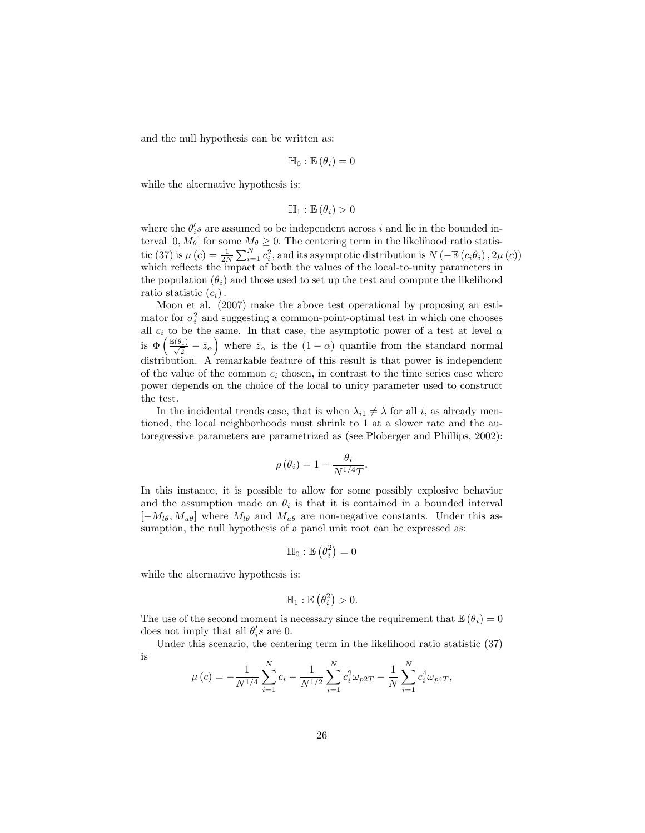and the null hypothesis can be written as:

$$
\mathbb{H}_0: \mathbb{E}(\theta_i)=0
$$

while the alternative hypothesis is:

$$
\mathbb{H}_1 : \mathbb{E}(\theta_i) > 0
$$

where the  $\theta_i$ 's are assumed to be independent across i and lie in the bounded interval  $[0, M_\theta]$  for some  $M_\theta \geq 0$ . The centering term in the likelihood ratio statistic (37) is  $\mu(c) = \frac{1}{2N} \sum_{i=1}^{N} c_i^2$ , and its asymptotic distribution is  $N(-\mathbb{E}(c_i\theta_i), 2\mu(c))$ which reflects the impact of both the values of the local-to-unity parameters in the population  $(\theta_i)$  and those used to set up the test and compute the likelihood ratio statistic  $(c_i)$ .

Moon et al. (2007) make the above test operational by proposing an estimator for  $\sigma_i^2$  and suggesting a common-point-optimal test in which one chooses all  $c_i$  to be the same. In that case, the asymptotic power of a test at level  $\alpha$ is  $\Phi\left(\frac{\mathbb{E}(\theta_i)}{\sqrt{2}} - \bar{z}_\alpha\right)$  where  $\bar{z}_\alpha$  is the  $(1-\alpha)$  quantile from the standard normal distribution. A remarkable feature of this result is that power is independent of the value of the common  $c_i$  chosen, in contrast to the time series case where power depends on the choice of the local to unity parameter used to construct the test.

In the incidental trends case, that is when  $\lambda_{i1} \neq \lambda$  for all i, as already mentioned, the local neighborhoods must shrink to 1 at a slower rate and the autoregressive parameters are parametrized as (see Ploberger and Phillips, 2002):

$$
\rho(\theta_i) = 1 - \frac{\theta_i}{N^{1/4}T}.
$$

In this instance, it is possible to allow for some possibly explosive behavior and the assumption made on  $\theta_i$  is that it is contained in a bounded interval  $[-M_{l\theta}, M_{u\theta}]$  where  $M_{l\theta}$  and  $M_{u\theta}$  are non-negative constants. Under this assumption, the null hypothesis of a panel unit root can be expressed as:

$$
\mathbb{H}_0: \mathbb{E}\left(\theta_i^2\right)=0
$$

while the alternative hypothesis is:

$$
\mathbb{H}_1 : \mathbb{E}(\theta_i^2) > 0.
$$

The use of the second moment is necessary since the requirement that  $\mathbb{E}(\theta_i) = 0$ does not imply that all  $\theta_i$ 's are 0.

Under this scenario, the centering term in the likelihood ratio statistic (37) is

$$
\mu(c) = -\frac{1}{N^{1/4}} \sum_{i=1}^{N} c_i - \frac{1}{N^{1/2}} \sum_{i=1}^{N} c_i^2 \omega_{p2T} - \frac{1}{N} \sum_{i=1}^{N} c_i^4 \omega_{p4T},
$$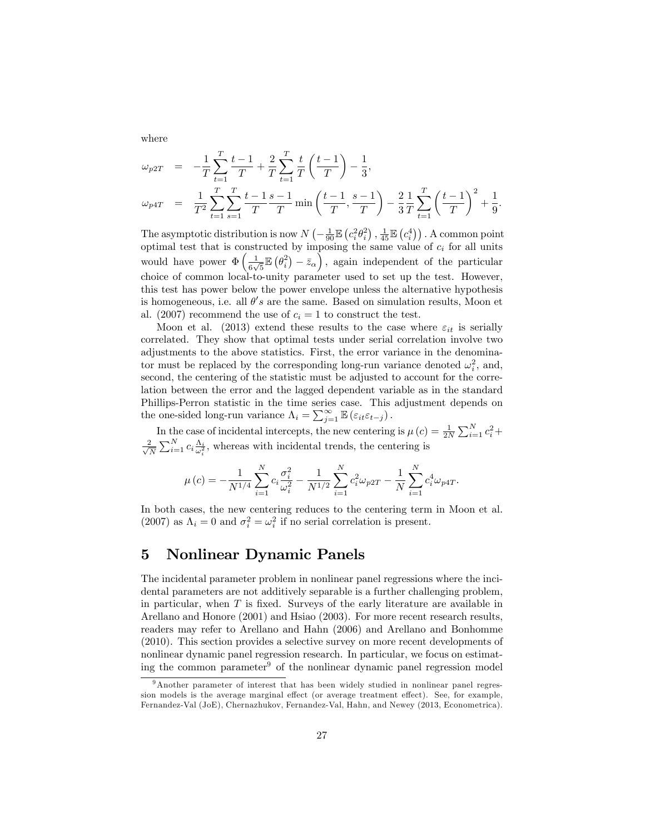where

$$
\omega_{p2T} = -\frac{1}{T} \sum_{t=1}^{T} \frac{t-1}{T} + \frac{2}{T} \sum_{t=1}^{T} \frac{t}{T} \left(\frac{t-1}{T}\right) - \frac{1}{3},
$$
\n
$$
\omega_{p4T} = \frac{1}{T^2} \sum_{t=1}^{T} \sum_{s=1}^{T} \frac{t-1}{T} \frac{s-1}{T} \min\left(\frac{t-1}{T}, \frac{s-1}{T}\right) - \frac{2}{3} \frac{1}{T} \sum_{t=1}^{T} \left(\frac{t-1}{T}\right)^2 + \frac{1}{9}.
$$

The asymptotic distribution is now  $N\left(-\frac{1}{90}\mathbb{E}\left(c_i^2\theta_i^2\right), \frac{1}{45}\mathbb{E}\left(c_i^4\right)\right)$ . A common point optimal test that is constructed by imposing the same value of  $c_i$  for all units would have power  $\Phi\left(\frac{1}{\epsilon}\right)$  $\frac{1}{6\sqrt{5}}\mathbb{E}(\theta_i^2) - \bar{z}_{\alpha}\right)$ , again independent of the particular choice of common local-to-unity parameter used to set up the test. However, this test has power below the power envelope unless the alternative hypothesis is homogeneous, i.e. all  $\theta's$  are the same. Based on simulation results, Moon et al. (2007) recommend the use of  $c_i = 1$  to construct the test.

Moon et al. (2013) extend these results to the case where  $\varepsilon_{it}$  is serially correlated. They show that optimal tests under serial correlation involve two adjustments to the above statistics. First, the error variance in the denominator must be replaced by the corresponding long-run variance denoted  $\omega_i^2$ , and, second, the centering of the statistic must be adjusted to account for the correlation between the error and the lagged dependent variable as in the standard Phillips-Perron statistic in the time series case. This adjustment depends on the one-sided long-run variance  $\Lambda_i = \sum_{j=1}^{\infty} \mathbb{E} \left( \varepsilon_{it} \varepsilon_{t-j} \right)$ .

In the case of incidental intercepts, the new centering is  $\mu(c) = \frac{1}{2N} \sum_{i=1}^{N} c_i^2 +$  $\frac{2}{\sqrt{2}}$  $\frac{2}{N} \sum_{i=1}^{N} c_i \frac{\Lambda_i}{\omega_i^2}$ , whereas with incidental trends, the centering is

$$
\mu\left(c\right)=-\frac{1}{N^{1/4}}\sum_{i=1}^{N}c_{i}\frac{\sigma_{i}^{2}}{\omega_{i}^{2}}-\frac{1}{N^{1/2}}\sum_{i=1}^{N}c_{i}^{2}\omega_{p2T}-\frac{1}{N}\sum_{i=1}^{N}c_{i}^{4}\omega_{p4T}.
$$

In both cases, the new centering reduces to the centering term in Moon et al. (2007) as  $\Lambda_i = 0$  and  $\sigma_i^2 = \omega_i^2$  if no serial correlation is present.

# 5 Nonlinear Dynamic Panels

The incidental parameter problem in nonlinear panel regressions where the incidental parameters are not additively separable is a further challenging problem, in particular, when  $T$  is fixed. Surveys of the early literature are available in Arellano and Honore (2001) and Hsiao (2003). For more recent research results, readers may refer to Arellano and Hahn (2006) and Arellano and Bonhomme (2010). This section provides a selective survey on more recent developments of nonlinear dynamic panel regression research. In particular, we focus on estimating the common parameter<sup>9</sup> of the nonlinear dynamic panel regression model

<sup>&</sup>lt;sup>9</sup>Another parameter of interest that has been widely studied in nonlinear panel regression models is the average marginal effect (or average treatment effect). See, for example, Fernandez-Val (JoE), Chernazhukov, Fernandez-Val, Hahn, and Newey (2013, Econometrica).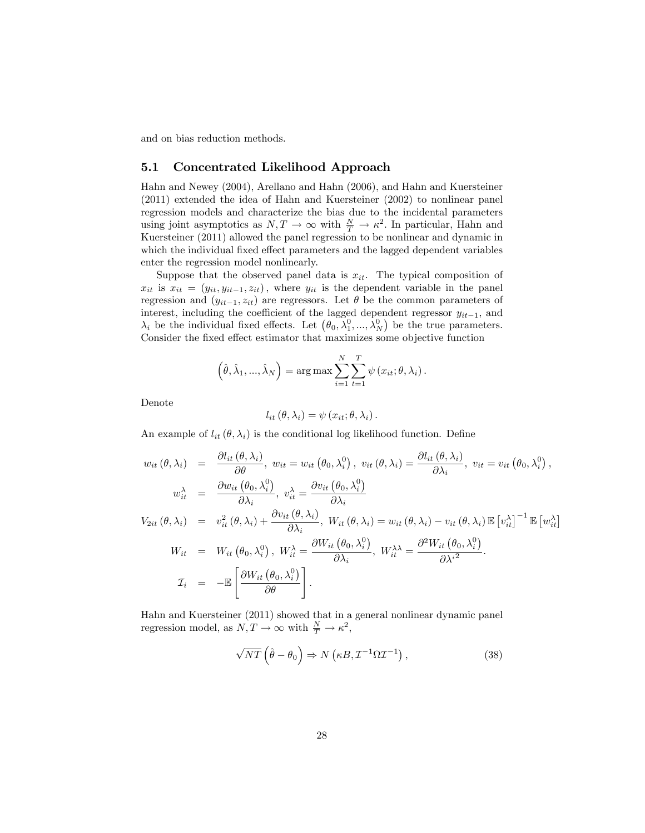and on bias reduction methods.

### 5.1 Concentrated Likelihood Approach

Hahn and Newey (2004), Arellano and Hahn (2006), and Hahn and Kuersteiner (2011) extended the idea of Hahn and Kuersteiner (2002) to nonlinear panel regression models and characterize the bias due to the incidental parameters using joint asymptotics as  $N, T \to \infty$  with  $\frac{N}{T} \to \kappa^2$ . In particular, Hahn and Kuersteiner (2011) allowed the panel regression to be nonlinear and dynamic in which the individual fixed effect parameters and the lagged dependent variables enter the regression model nonlinearly.

Suppose that the observed panel data is  $x_{it}$ . The typical composition of  $x_{it}$  is  $x_{it} = (y_{it}, y_{it-1}, z_{it})$ , where  $y_{it}$  is the dependent variable in the panel regression and  $(y_{it-1}, z_{it})$  are regressors. Let  $\theta$  be the common parameters of interest, including the coefficient of the lagged dependent regressor  $y_{it-1}$ , and  $\lambda_i$  be the individual fixed effects. Let  $(\theta_0, \lambda_1^0, ..., \lambda_N^0)$  be the true parameters. Consider the fixed effect estimator that maximizes some objective function

$$
\left(\hat{\theta}, \hat{\lambda}_1, ..., \hat{\lambda}_N\right) = \arg \max \sum_{i=1}^N \sum_{t=1}^T \psi\left(x_{it}; \theta, \lambda_i\right).
$$

Denote

$$
l_{it}(\theta, \lambda_i) = \psi(x_{it}; \theta, \lambda_i).
$$

An example of  $l_{it}(\theta, \lambda_i)$  is the conditional log likelihood function. Define

$$
w_{it}(\theta, \lambda_i) = \frac{\partial l_{it}(\theta, \lambda_i)}{\partial \theta}, \ w_{it} = w_{it}(\theta_0, \lambda_i^0), \ v_{it}(\theta, \lambda_i) = \frac{\partial l_{it}(\theta, \lambda_i)}{\partial \lambda_i}, \ v_{it} = v_{it}(\theta_0, \lambda_i^0),
$$
  

$$
w_{it}^{\lambda} = \frac{\partial w_{it}(\theta_0, \lambda_i^0)}{\partial \lambda_i}, \ v_{it}^{\lambda} = \frac{\partial v_{it}(\theta_0, \lambda_i^0)}{\partial \lambda_i}
$$
  

$$
V_{2it}(\theta, \lambda_i) = v_{it}^2(\theta, \lambda_i) + \frac{\partial v_{it}(\theta, \lambda_i)}{\partial \lambda_i}, \ W_{it}(\theta, \lambda_i) = w_{it}(\theta, \lambda_i) - v_{it}(\theta, \lambda_i) \mathbb{E}[v_{it}^{\lambda}]^{-1} \mathbb{E}[w_{it}^{\lambda}]
$$
  

$$
W_{it} = W_{it}(\theta_0, \lambda_i^0), \ W_{it}^{\lambda} = \frac{\partial W_{it}(\theta_0, \lambda_i^0)}{\partial \lambda_i}, \ W_{it}^{\lambda\lambda} = \frac{\partial^2 W_{it}(\theta_0, \lambda_i^0)}{\partial \lambda_i^2}.
$$
  

$$
\mathcal{I}_i = -\mathbb{E}\left[\frac{\partial W_{it}(\theta_0, \lambda_i^0)}{\partial \theta}\right].
$$

Hahn and Kuersteiner (2011) showed that in a general nonlinear dynamic panel regression model, as  $N, T \to \infty$  with  $\frac{N}{T} \to \kappa^2$ ,

$$
\sqrt{NT}\left(\hat{\theta} - \theta_0\right) \Rightarrow N\left(\kappa B, \mathcal{I}^{-1}\Omega \mathcal{I}^{-1}\right),\tag{38}
$$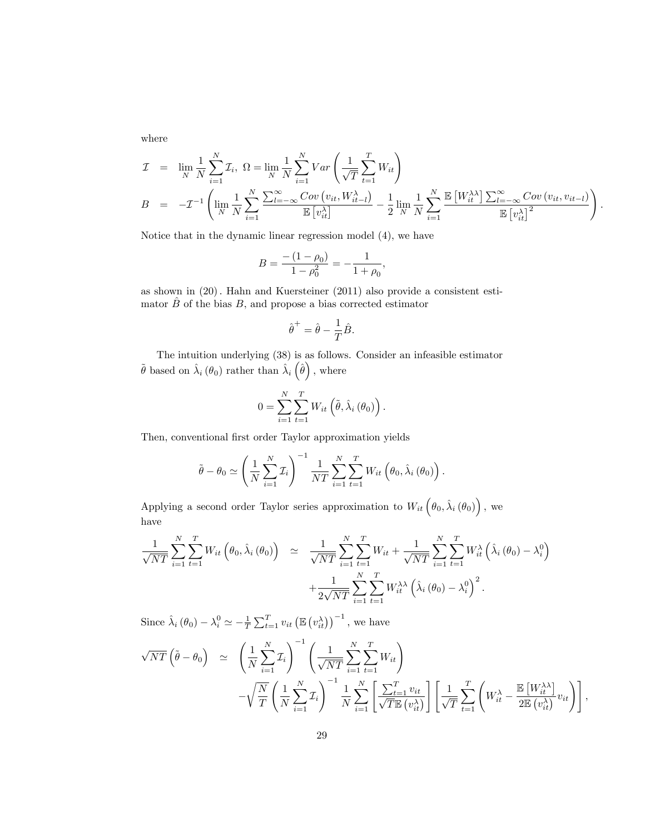where

$$
\mathcal{I} = \lim_{N} \frac{1}{N} \sum_{i=1}^{N} \mathcal{I}_i, \ \Omega = \lim_{N} \frac{1}{N} \sum_{i=1}^{N} Var \left( \frac{1}{\sqrt{T}} \sum_{t=1}^{T} W_{it} \right)
$$
  
\n
$$
B = -\mathcal{I}^{-1} \left( \lim_{N} \frac{1}{N} \sum_{i=1}^{N} \frac{\sum_{l=-\infty}^{\infty} Cov \left( v_{it}, W_{it-l}^{\lambda} \right)}{\mathbb{E} \left[ v_{it}^{\lambda} \right]} - \frac{1}{2} \lim_{N} \frac{1}{N} \sum_{i=1}^{N} \frac{\mathbb{E} \left[ W_{it}^{\lambda \lambda} \right] \sum_{l=-\infty}^{\infty} Cov \left( v_{it}, v_{it-l} \right)}{\mathbb{E} \left[ v_{it}^{\lambda} \right]^{2}} \right).
$$

Notice that in the dynamic linear regression model (4), we have

$$
B = \frac{-(1 - \rho_0)}{1 - \rho_0^2} = -\frac{1}{1 + \rho_0},
$$

as shown in  $(20)$ . Hahn and Kuersteiner  $(2011)$  also provide a consistent estimator  $\hat{B}$  of the bias  $B$ , and propose a bias corrected estimator

$$
\hat{\theta}^+ = \hat{\theta} - \frac{1}{T}\hat{B}.
$$

The intuition underlying (38) is as follows. Consider an infeasible estimator  $\tilde{\theta}$  based on  $\hat{\lambda}_i (\theta_0)$  rather than  $\hat{\lambda}_i (\hat{\theta})$ , where

$$
0 = \sum_{i=1}^{N} \sum_{t=1}^{T} W_{it} \left( \tilde{\theta}, \hat{\lambda}_{i} \left( \theta_{0} \right) \right).
$$

Then, conventional first order Taylor approximation yields

$$
\tilde{\theta} - \theta_0 \simeq \left(\frac{1}{N} \sum_{i=1}^N \mathcal{I}_i\right)^{-1} \frac{1}{NT} \sum_{i=1}^N \sum_{t=1}^T W_{it} \left(\theta_0, \hat{\lambda}_i \left(\theta_0\right)\right).
$$

Applying a second order Taylor series approximation to  $W_{it}(\theta_0, \hat{\lambda}_i(\theta_0))$ , we have

$$
\frac{1}{\sqrt{NT}} \sum_{i=1}^{N} \sum_{t=1}^{T} W_{it} \left( \theta_0, \hat{\lambda}_i \left( \theta_0 \right) \right) \simeq \frac{1}{\sqrt{NT}} \sum_{i=1}^{N} \sum_{t=1}^{T} W_{it} + \frac{1}{\sqrt{NT}} \sum_{i=1}^{N} \sum_{t=1}^{T} W_{it}^{\lambda} \left( \hat{\lambda}_i \left( \theta_0 \right) - \lambda_i^0 \right) + \frac{1}{2\sqrt{NT}} \sum_{i=1}^{N} \sum_{t=1}^{T} W_{it}^{\lambda \lambda} \left( \hat{\lambda}_i \left( \theta_0 \right) - \lambda_i^0 \right)^2.
$$

Since  $\hat{\lambda}_i (\theta_0) - \lambda_i^0 \simeq -\frac{1}{T} \sum_{t=1}^T v_{it} (\mathbb{E} (v_{it}^{\lambda}))^{-1}$ , we have

$$
\sqrt{NT} \left( \tilde{\theta} - \theta_0 \right) \simeq \left( \frac{1}{N} \sum_{i=1}^N \mathcal{I}_i \right)^{-1} \left( \frac{1}{\sqrt{NT}} \sum_{i=1}^N \sum_{t=1}^T W_{it} \right) \n- \sqrt{\frac{N}{T}} \left( \frac{1}{N} \sum_{i=1}^N \mathcal{I}_i \right)^{-1} \frac{1}{N} \sum_{i=1}^N \left[ \frac{\sum_{t=1}^T v_{it}}{\sqrt{T} \mathbb{E} \left( v_{it}^{\lambda} \right)} \right] \left[ \frac{1}{\sqrt{T}} \sum_{t=1}^T \left( W_{it}^{\lambda} - \frac{\mathbb{E} \left[ W_{it}^{\lambda \lambda} \right]}{2 \mathbb{E} \left( v_{it}^{\lambda} \right)} v_{it} \right) \right],
$$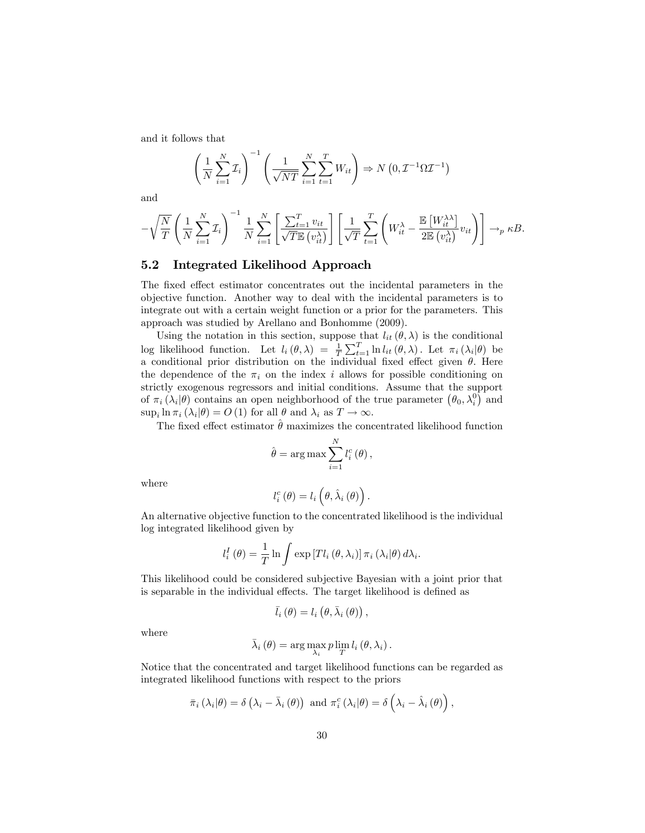and it follows that

$$
\left(\frac{1}{N}\sum_{i=1}^{N} \mathcal{I}_i\right)^{-1} \left(\frac{1}{\sqrt{NT}}\sum_{i=1}^{N} \sum_{t=1}^{T} W_{it}\right) \Rightarrow N\left(0, \mathcal{I}^{-1} \Omega \mathcal{I}^{-1}\right)
$$

and

$$
-\sqrt{\frac{N}{T}}\left(\frac{1}{N}\sum_{i=1}^{N} \mathcal{I}_i\right)^{-1} \frac{1}{N} \sum_{i=1}^{N} \left[\frac{\sum_{t=1}^{T} v_{it}}{\sqrt{T} \mathbb{E}\left(v_{it}^{\lambda}\right)}\right] \left[\frac{1}{\sqrt{T}} \sum_{t=1}^{T} \left(W_{it}^{\lambda} - \frac{\mathbb{E}\left[W_{it}^{\lambda\lambda}\right]}{2\mathbb{E}\left(v_{it}^{\lambda}\right)} v_{it}\right)\right] \rightarrow_{p} \kappa B.
$$

#### 5.2 Integrated Likelihood Approach

The fixed effect estimator concentrates out the incidental parameters in the objective function. Another way to deal with the incidental parameters is to integrate out with a certain weight function or a prior for the parameters. This approach was studied by Arellano and Bonhomme (2009).

Using the notation in this section, suppose that  $l_{it}(\theta, \lambda)$  is the conditional log likelihood function. Let  $l_i(\theta, \lambda) = \frac{1}{T} \sum_{t=1}^T \ln l_{it}(\theta, \lambda)$ . Let  $\pi_i(\lambda_i | \theta)$  be a conditional prior distribution on the individual fixed effect given  $\theta$ . Here the dependence of the  $\pi_i$  on the index i allows for possible conditioning on strictly exogenous regressors and initial conditions. Assume that the support of  $\pi_i(\lambda_i|\theta)$  contains an open neighborhood of the true parameter  $(\theta_0, \lambda_i^0)$  and  $\sup_i \ln \pi_i (\lambda_i | \theta) = O (1) \text{ for all } \theta \text{ and } \lambda_i \text{ as } T \to \infty.$ 

The fixed effect estimator  $\hat{\theta}$  maximizes the concentrated likelihood function

$$
\hat{\theta} = \arg \max \sum_{i=1}^{N} l_i^c(\theta),
$$

where

$$
l_{i}^{c}(\theta)=l_{i}\left(\theta,\hat{\lambda}_{i}(\theta)\right).
$$

An alternative objective function to the concentrated likelihood is the individual log integrated likelihood given by

$$
l_i^I(\theta) = \frac{1}{T} \ln \int \exp\left[T l_i(\theta, \lambda_i)\right] \pi_i(\lambda_i|\theta) d\lambda_i.
$$

This likelihood could be considered subjective Bayesian with a joint prior that is separable in the individual effects. The target likelihood is defined as

$$
\bar{l}_{i}(\theta)=l_{i}(\theta,\bar{\lambda}_{i}(\theta)),
$$

where

$$
\bar{\lambda}_{i}(\theta) = \arg\max_{\lambda_{i}} p \lim_{T} l_{i}(\theta, \lambda_{i}).
$$

Notice that the concentrated and target likelihood functions can be regarded as integrated likelihood functions with respect to the priors

$$
\bar{\pi}_{i}\left(\lambda_{i}|\theta\right)=\delta\left(\lambda_{i}-\bar{\lambda}_{i}\left(\theta\right)\right)\text{ and }\pi_{i}^{c}\left(\lambda_{i}|\theta\right)=\delta\left(\lambda_{i}-\hat{\lambda}_{i}\left(\theta\right)\right),
$$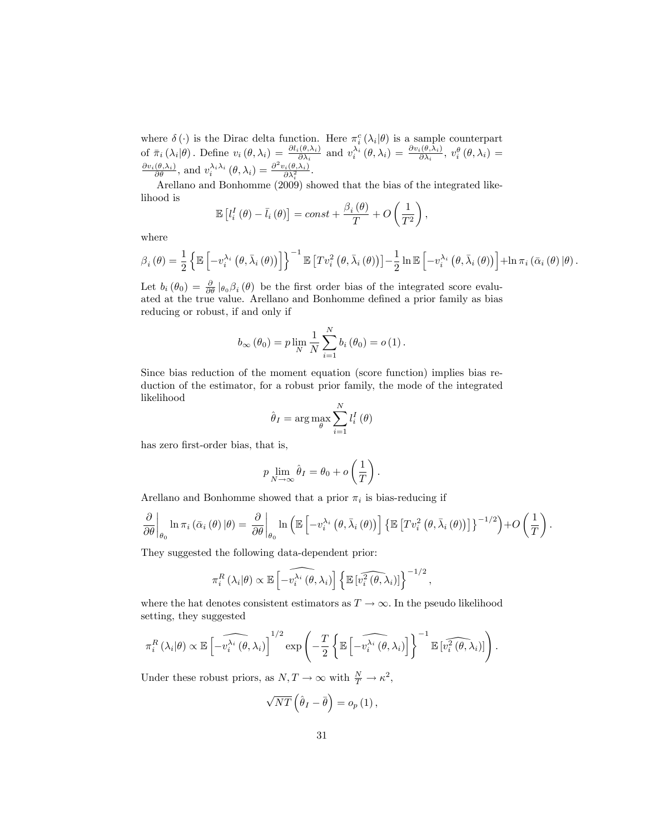where  $\delta(\cdot)$  is the Dirac delta function. Here  $\pi_i^c(\lambda_i|\theta)$  is a sample counterpart of  $\bar{\pi}_i(\lambda_i|\theta)$ . Define  $v_i(\theta,\lambda_i) = \frac{\partial l_i(\theta,\lambda_i)}{\partial \lambda_i}$  and  $v_i^{\lambda_i}(\theta,\lambda_i) = \frac{\partial v_i(\theta,\lambda_i)}{\partial \lambda_i}$ ,  $v_i^{\theta}(\theta,\lambda_i) =$  $\frac{\partial v_i(\theta,\lambda_i)}{\partial \theta}$ , and  $v_i^{\lambda_i \lambda_i}(\theta,\lambda_i) = \frac{\partial^2 v_i(\theta,\lambda_i)}{\partial \lambda_i^2}$ .

Arellano and Bonhomme (2009) showed that the bias of the integrated likelihood is

$$
\mathbb{E}\left[l_i^I\left(\theta\right) - \bar{l}_i\left(\theta\right)\right] = const + \frac{\beta_i\left(\theta\right)}{T} + O\left(\frac{1}{T^2}\right),\,
$$

where

$$
\beta_{i}(\theta) = \frac{1}{2} \left\{ \mathbb{E} \left[ -v_{i}^{\lambda_{i}} \left( \theta, \bar{\lambda}_{i} \left( \theta \right) \right) \right] \right\}^{-1} \mathbb{E} \left[ T v_{i}^{2} \left( \theta, \bar{\lambda}_{i} \left( \theta \right) \right) \right] - \frac{1}{2} \ln \mathbb{E} \left[ -v_{i}^{\lambda_{i}} \left( \theta, \bar{\lambda}_{i} \left( \theta \right) \right) \right] + \ln \pi_{i} \left( \bar{\alpha}_{i} \left( \theta \right) \left| \theta \right. \right).
$$

Let  $b_i(\theta_0) = \frac{\partial}{\partial \theta} |_{\theta_0} \beta_i(\theta)$  be the first order bias of the integrated score evaluated at the true value. Arellano and Bonhomme defined a prior family as bias reducing or robust, if and only if

$$
b_{\infty}(\theta_0) = p \lim_{N} \frac{1}{N} \sum_{i=1}^{N} b_i(\theta_0) = o(1).
$$

Since bias reduction of the moment equation (score function) implies bias reduction of the estimator, for a robust prior family, the mode of the integrated likelihood

$$
\hat{\theta}_{I} = \arg \max_{\theta} \sum_{i=1}^{N} l_i^I(\theta)
$$

has zero first-order bias, that is,

$$
p \lim_{N \to \infty} \hat{\theta}_I = \theta_0 + o\left(\frac{1}{T}\right).
$$

Arellano and Bonhomme showed that a prior  $\pi_i$  is bias-reducing if

$$
\frac{\partial}{\partial \theta}\bigg|_{\theta_{0}} \ln \pi_{i} \left( \bar{\alpha}_{i} \left( \theta \right) | \theta \right) = \frac{\partial}{\partial \theta}\bigg|_{\theta_{0}} \ln \left( \mathbb{E}\left[ -v_{i}^{\lambda_{i}} \left( \theta, \bar{\lambda}_{i} \left( \theta \right) \right) \right] \left\{ \mathbb{E}\left[ T v_{i}^{2} \left( \theta, \bar{\lambda}_{i} \left( \theta \right) \right) \right] \right\}^{-1/2} \right) + O\left( \frac{1}{T} \right).
$$

They suggested the following data-dependent prior:

$$
\pi_i^R\left(\lambda_i|\theta\right) \propto \mathbb{E}\left[-\widehat{v_i^{\lambda_i}\left(\theta,\lambda_i\right)}\right] \left\{\mathbb{E}\left[\widehat{v_i^2\left(\theta,\lambda_i\right)}\right]\right\}^{-1/2},\,
$$

where the hat denotes consistent estimators as  $T \to \infty$ . In the pseudo likelihood setting, they suggested

$$
\pi_i^R\left(\lambda_i|\theta\right) \propto \mathbb{E}\left[\widehat{-v_i^{\lambda_i}\left(\theta,\lambda_i\right)}\right]^{1/2} \exp\left(-\frac{T}{2}\left\{\mathbb{E}\left[\widehat{-v_i^{\lambda_i}\left(\theta,\lambda_i\right)}\right]\right\}^{-1}\mathbb{E}\left[\widehat{v_i^2\left(\theta,\lambda_i\right)}\right]\right).
$$

Under these robust priors, as  $N, T \to \infty$  with  $\frac{N}{T} \to \kappa^2$ ,

$$
\sqrt{NT}\left(\hat{\theta}_I-\bar{\theta}\right)=o_p\left(1\right),\,
$$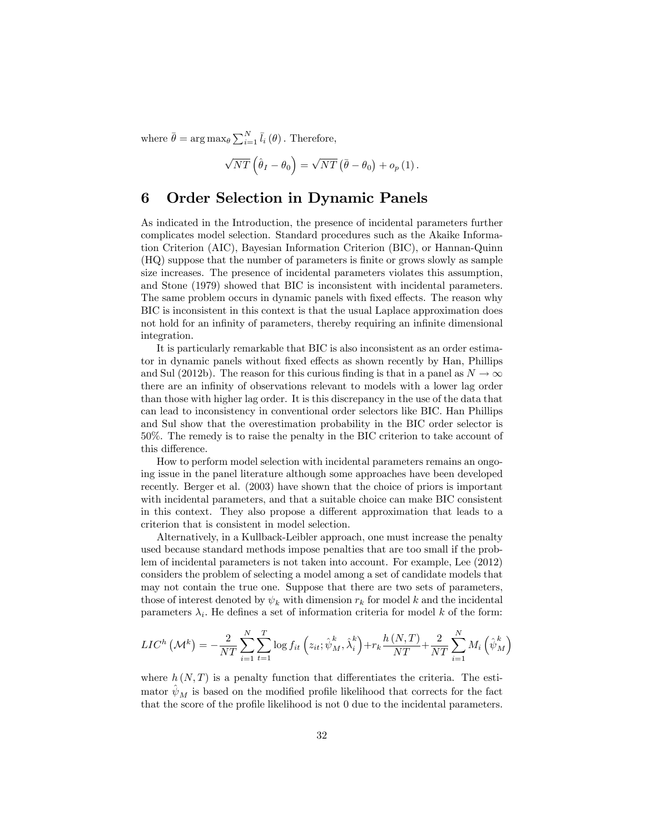where  $\bar{\theta} = \arg \max_{\theta} \sum_{i=1}^{N} \bar{l}_i(\theta)$ . Therefore,

$$
\sqrt{NT}\left(\hat{\theta}_I - \theta_0\right) = \sqrt{NT}\left(\bar{\theta} - \theta_0\right) + o_p\left(1\right).
$$

# 6 Order Selection in Dynamic Panels

As indicated in the Introduction, the presence of incidental parameters further complicates model selection. Standard procedures such as the Akaike Information Criterion (AIC), Bayesian Information Criterion (BIC), or Hannan-Quinn (HQ) suppose that the number of parameters is Önite or grows slowly as sample size increases. The presence of incidental parameters violates this assumption, and Stone (1979) showed that BIC is inconsistent with incidental parameters. The same problem occurs in dynamic panels with fixed effects. The reason why BIC is inconsistent in this context is that the usual Laplace approximation does not hold for an infinity of parameters, thereby requiring an infinite dimensional integration.

It is particularly remarkable that BIC is also inconsistent as an order estimator in dynamic panels without fixed effects as shown recently by Han, Phillips and Sul (2012b). The reason for this curious finding is that in a panel as  $N \to \infty$ there are an infinity of observations relevant to models with a lower lag order than those with higher lag order. It is this discrepancy in the use of the data that can lead to inconsistency in conventional order selectors like BIC. Han Phillips and Sul show that the overestimation probability in the BIC order selector is 50%. The remedy is to raise the penalty in the BIC criterion to take account of this difference.

How to perform model selection with incidental parameters remains an ongoing issue in the panel literature although some approaches have been developed recently. Berger et al. (2003) have shown that the choice of priors is important with incidental parameters, and that a suitable choice can make BIC consistent in this context. They also propose a different approximation that leads to a criterion that is consistent in model selection.

Alternatively, in a Kullback-Leibler approach, one must increase the penalty used because standard methods impose penalties that are too small if the problem of incidental parameters is not taken into account. For example, Lee (2012) considers the problem of selecting a model among a set of candidate models that may not contain the true one. Suppose that there are two sets of parameters, those of interest denoted by  $\psi_k$  with dimension  $r_k$  for model k and the incidental parameters  $\lambda_i$ . He defines a set of information criteria for model k of the form:

$$
LIC^{h}(\mathcal{M}^{k}) = -\frac{2}{NT} \sum_{i=1}^{N} \sum_{t=1}^{T} \log f_{it} \left(z_{it}; \hat{\psi}_{M}^{k}, \hat{\lambda}_{i}^{k}\right) + r_{k} \frac{h(N, T)}{NT} + \frac{2}{NT} \sum_{i=1}^{N} M_{i} \left(\hat{\psi}_{M}^{k}\right)
$$

where  $h(N,T)$  is a penalty function that differentiates the criteria. The estimator  $\psi_M$  is based on the modified profile likelihood that corrects for the fact that the score of the profile likelihood is not  $0$  due to the incidental parameters.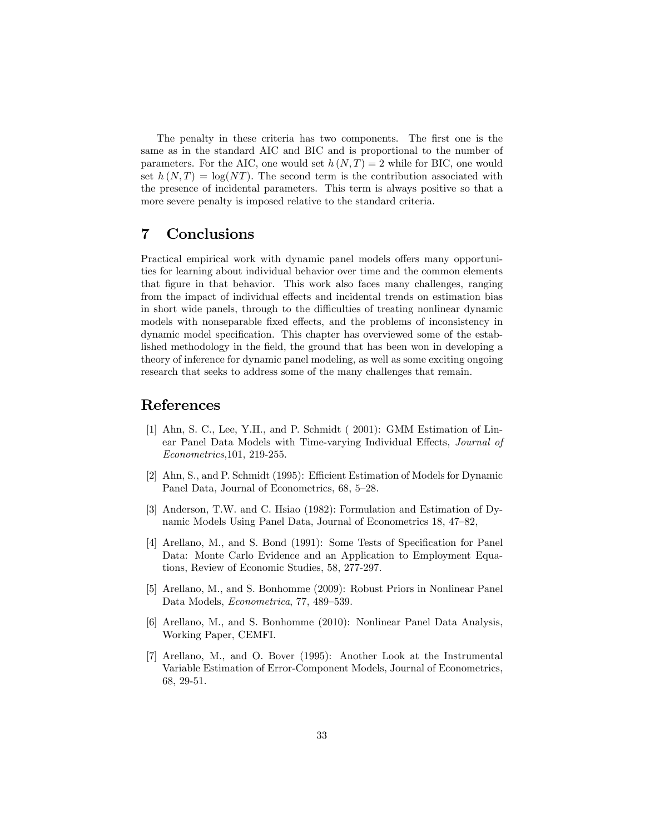The penalty in these criteria has two components. The first one is the same as in the standard AIC and BIC and is proportional to the number of parameters. For the AIC, one would set  $h(N,T) = 2$  while for BIC, one would set  $h(N,T) = \log(NT)$ . The second term is the contribution associated with the presence of incidental parameters. This term is always positive so that a more severe penalty is imposed relative to the standard criteria.

# 7 Conclusions

Practical empirical work with dynamic panel models offers many opportunities for learning about individual behavior over time and the common elements that figure in that behavior. This work also faces many challenges, ranging from the impact of individual effects and incidental trends on estimation bias in short wide panels, through to the difficulties of treating nonlinear dynamic models with nonseparable fixed effects, and the problems of inconsistency in dynamic model specification. This chapter has overviewed some of the established methodology in the field, the ground that has been won in developing a theory of inference for dynamic panel modeling, as well as some exciting ongoing research that seeks to address some of the many challenges that remain.

# References

- [1] Ahn, S. C., Lee, Y.H., and P. Schmidt ( 2001): GMM Estimation of Linear Panel Data Models with Time-varying Individual Effects, Journal of Econometrics,101, 219-255.
- [2] Ahn, S., and P. Schmidt (1995): Efficient Estimation of Models for Dynamic Panel Data, Journal of Econometrics, 68, 5–28.
- [3] Anderson, T.W. and C. Hsiao (1982): Formulation and Estimation of Dynamic Models Using Panel Data, Journal of Econometrics 18, 47–82,
- [4] Arellano, M., and S. Bond (1991): Some Tests of Specification for Panel Data: Monte Carlo Evidence and an Application to Employment Equations, Review of Economic Studies, 58, 277-297.
- [5] Arellano, M., and S. Bonhomme (2009): Robust Priors in Nonlinear Panel Data Models, *Econometrica*, 77, 489–539.
- [6] Arellano, M., and S. Bonhomme (2010): Nonlinear Panel Data Analysis, Working Paper, CEMFI.
- [7] Arellano, M., and O. Bover (1995): Another Look at the Instrumental Variable Estimation of Error-Component Models, Journal of Econometrics, 68, 29-51.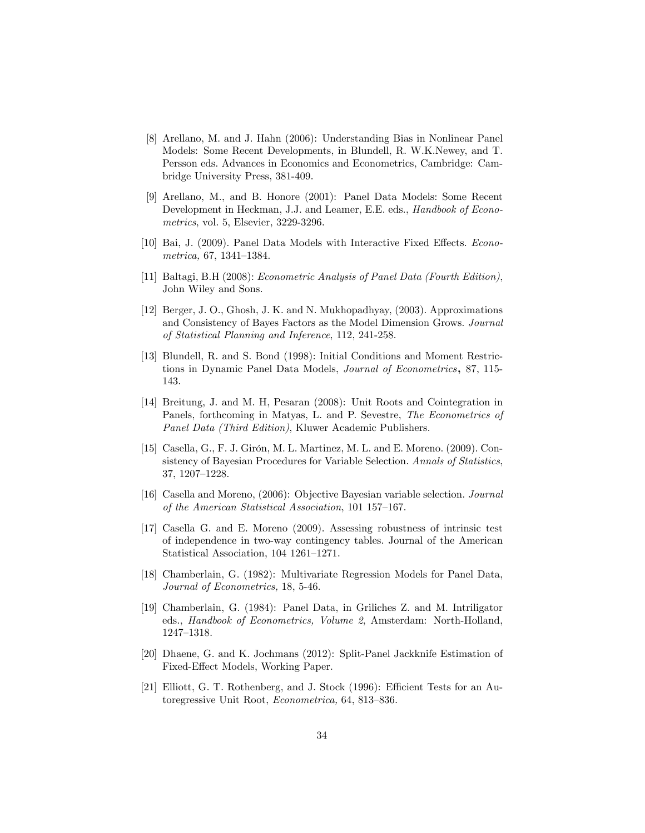- [8] Arellano, M. and J. Hahn (2006): Understanding Bias in Nonlinear Panel Models: Some Recent Developments, in Blundell, R. W.K.Newey, and T. Persson eds. Advances in Economics and Econometrics, Cambridge: Cambridge University Press, 381-409.
- [9] Arellano, M., and B. Honore (2001): Panel Data Models: Some Recent Development in Heckman, J.J. and Leamer, E.E. eds., Handbook of Econometrics, vol. 5, Elsevier, 3229-3296.
- [10] Bai, J. (2009). Panel Data Models with Interactive Fixed Effects. Econo $metrica, 67, 1341-1384.$
- [11] Baltagi, B.H (2008): Econometric Analysis of Panel Data (Fourth Edition), John Wiley and Sons.
- [12] Berger, J. O., Ghosh, J. K. and N. Mukhopadhyay, (2003). Approximations and Consistency of Bayes Factors as the Model Dimension Grows. Journal of Statistical Planning and Inference, 112, 241-258.
- [13] Blundell, R. and S. Bond (1998): Initial Conditions and Moment Restrictions in Dynamic Panel Data Models, Journal of Econometrics, 87, 115- 143.
- [14] Breitung, J. and M. H, Pesaran (2008): Unit Roots and Cointegration in Panels, forthcoming in Matyas, L. and P. Sevestre, The Econometrics of Panel Data (Third Edition), Kluwer Academic Publishers.
- [15] Casella, G., F. J. Girón, M. L. Martinez, M. L. and E. Moreno.  $(2009)$ . Consistency of Bayesian Procedures for Variable Selection. Annals of Statistics, 37, 1207-1228.
- [16] Casella and Moreno, (2006): Objective Bayesian variable selection. Journal of the American Statistical Association,  $101 157-167$ .
- [17] Casella G. and E. Moreno (2009). Assessing robustness of intrinsic test of independence in two-way contingency tables. Journal of the American Statistical Association,  $104$  1261–1271.
- [18] Chamberlain, G. (1982): Multivariate Regression Models for Panel Data, Journal of Econometrics, 18, 5-46.
- [19] Chamberlain, G. (1984): Panel Data, in Griliches Z. and M. Intriligator eds., Handbook of Econometrics, Volume 2, Amsterdam: North-Holland, 1247–1318.
- [20] Dhaene, G. and K. Jochmans (2012): Split-Panel Jackknife Estimation of Fixed-Effect Models, Working Paper.
- [21] Elliott, G. T. Rothenberg, and J. Stock (1996): Efficient Tests for an Autoregressive Unit Root, Econometrica, 64, 813-836.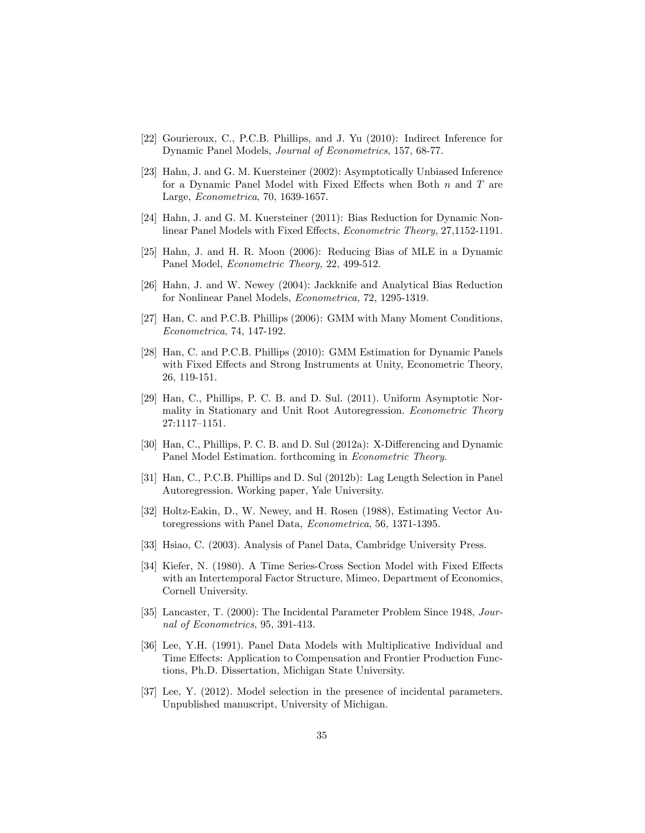- [22] Gourieroux, C., P.C.B. Phillips, and J. Yu (2010): Indirect Inference for Dynamic Panel Models, Journal of Econometrics, 157, 68-77.
- [23] Hahn, J. and G. M. Kuersteiner (2002): Asymptotically Unbiased Inference for a Dynamic Panel Model with Fixed Effects when Both  $n$  and  $T$  are Large, Econometrica, 70, 1639-1657.
- [24] Hahn, J. and G. M. Kuersteiner (2011): Bias Reduction for Dynamic Nonlinear Panel Models with Fixed Effects, Econometric Theory, 27,1152-1191.
- [25] Hahn, J. and H. R. Moon (2006): Reducing Bias of MLE in a Dynamic Panel Model, Econometric Theory, 22, 499-512.
- [26] Hahn, J. and W. Newey (2004): Jackknife and Analytical Bias Reduction for Nonlinear Panel Models, Econometrica, 72, 1295-1319.
- [27] Han, C. and P.C.B. Phillips (2006): GMM with Many Moment Conditions, Econometrica, 74, 147-192.
- [28] Han, C. and P.C.B. Phillips (2010): GMM Estimation for Dynamic Panels with Fixed Effects and Strong Instruments at Unity, Econometric Theory, 26, 119-151.
- [29] Han, C., Phillips, P. C. B. and D. Sul. (2011). Uniform Asymptotic Normality in Stationary and Unit Root Autoregression. Econometric Theory 27:1117-1151.
- [30] Han, C., Phillips, P. C. B. and D. Sul (2012a): X-Differencing and Dynamic Panel Model Estimation. forthcoming in Econometric Theory.
- [31] Han, C., P.C.B. Phillips and D. Sul (2012b): Lag Length Selection in Panel Autoregression. Working paper, Yale University.
- [32] Holtz-Eakin, D., W. Newey, and H. Rosen (1988), Estimating Vector Autoregressions with Panel Data, Econometrica, 56, 1371-1395.
- [33] Hsiao, C. (2003). Analysis of Panel Data, Cambridge University Press.
- [34] Kiefer, N. (1980). A Time Series-Cross Section Model with Fixed Effects with an Intertemporal Factor Structure, Mimeo, Department of Economics, Cornell University.
- [35] Lancaster, T. (2000): The Incidental Parameter Problem Since 1948, Journal of Econometrics, 95, 391-413.
- [36] Lee, Y.H. (1991). Panel Data Models with Multiplicative Individual and Time Effects: Application to Compensation and Frontier Production Functions, Ph.D. Dissertation, Michigan State University.
- [37] Lee, Y. (2012). Model selection in the presence of incidental parameters. Unpublished manuscript, University of Michigan.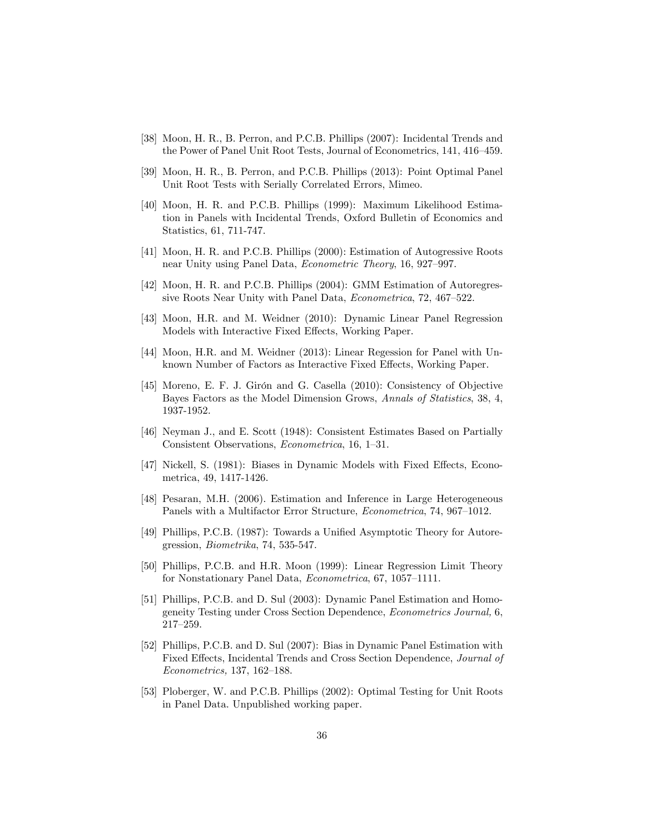- [38] Moon, H. R., B. Perron, and P.C.B. Phillips (2007): Incidental Trends and the Power of Panel Unit Root Tests, Journal of Econometrics, 141, 416-459.
- [39] Moon, H. R., B. Perron, and P.C.B. Phillips (2013): Point Optimal Panel Unit Root Tests with Serially Correlated Errors, Mimeo.
- [40] Moon, H. R. and P.C.B. Phillips (1999): Maximum Likelihood Estimation in Panels with Incidental Trends, Oxford Bulletin of Economics and Statistics, 61, 711-747.
- [41] Moon, H. R. and P.C.B. Phillips (2000): Estimation of Autogressive Roots near Unity using Panel Data, *Econometric Theory*, 16, 927–997.
- [42] Moon, H. R. and P.C.B. Phillips (2004): GMM Estimation of Autoregressive Roots Near Unity with Panel Data,  $Econometrica$ , 72, 467-522.
- [43] Moon, H.R. and M. Weidner (2010): Dynamic Linear Panel Regression Models with Interactive Fixed Effects, Working Paper.
- [44] Moon, H.R. and M. Weidner (2013): Linear Regession for Panel with Unknown Number of Factors as Interactive Fixed Effects, Working Paper.
- [45] Moreno, E. F. J. Girón and G. Casella (2010): Consistency of Objective Bayes Factors as the Model Dimension Grows, Annals of Statistics, 38, 4, 1937-1952.
- [46] Neyman J., and E. Scott (1948): Consistent Estimates Based on Partially Consistent Observations, *Econometrica*, 16, 1–31.
- [47] Nickell, S. (1981): Biases in Dynamic Models with Fixed Effects, Econometrica, 49, 1417-1426.
- [48] Pesaran, M.H. (2006). Estimation and Inference in Large Heterogeneous Panels with a Multifactor Error Structure, *Econometrica*, 74, 967–1012.
- [49] Phillips, P.C.B. (1987): Towards a Unified Asymptotic Theory for Autoregression, Biometrika, 74, 535-547.
- [50] Phillips, P.C.B. and H.R. Moon (1999): Linear Regression Limit Theory for Nonstationary Panel Data, Econometrica, 67, 1057-1111.
- [51] Phillips, P.C.B. and D. Sul (2003): Dynamic Panel Estimation and Homogeneity Testing under Cross Section Dependence, Econometrics Journal, 6, 217-259.
- [52] Phillips, P.C.B. and D. Sul (2007): Bias in Dynamic Panel Estimation with Fixed Effects, Incidental Trends and Cross Section Dependence, *Journal of*  $Econometrics, 137, 162–188.$
- [53] Ploberger, W. and P.C.B. Phillips (2002): Optimal Testing for Unit Roots in Panel Data. Unpublished working paper.